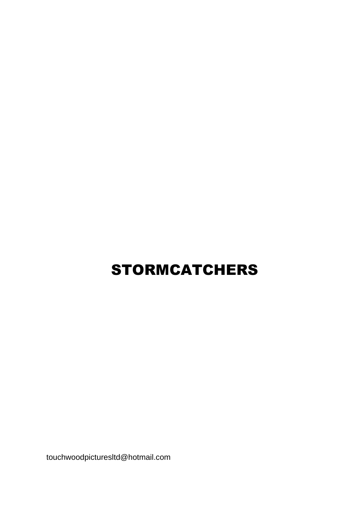# STORMCATCHERS

touchwoodpicturesltd@hotmail.com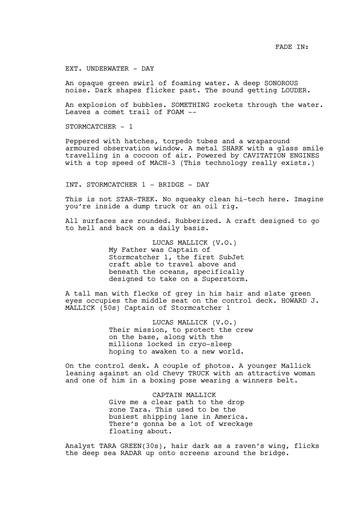EXT. UNDERWATER - DAY

An opaque green swirl of foaming water. A deep SONOROUS noise. Dark shapes flicker past. The sound getting LOUDER.

An explosion of bubbles. SOMETHING rockets through the water. Leaves a comet trail of FOAM --

STORMCATCHER - 1

Peppered with hatches, torpedo tubes and a wraparound armoured observation window. A metal SHARK with a glass smile travelling in a cocoon of air. Powered by CAVITATION ENGINES with a top speed of MACH-3 (This technology really exists.)

INT. STORMCATCHER 1 - BRIDGE - DAY

This is not STAR-TREK. No squeaky clean hi-tech here. Imagine you're inside a dump truck or an oil rig.

All surfaces are rounded. Rubberized. A craft designed to go to hell and back on a daily basis.

> LUCAS MALLICK (V.O.) My Father was Captain of Stormcatcher 1, the first SubJet craft able to travel above and beneath the oceans, specifically designed to take on a Superstorm.

A tall man with flecks of grey in his hair and slate green eyes occupies the middle seat on the control deck. HOWARD J. MALLICK (50s) Captain of Stormcatcher 1

> LUCAS MALLICK (V.O.) Their mission, to protect the crew on the base, along with the millions locked in cryo-sleep hoping to awaken to a new world.

On the control desk. A couple of photos. A younger Mallick leaning against an old Chevy TRUCK with an attractive woman and one of him in a boxing pose wearing a winners belt.

> CAPTAIN MALLICK Give me a clear path to the drop zone Tara. This used to be the busiest shipping lane in America. There's gonna be a lot of wreckage floating about.

Analyst TARA GREEN(30s), hair dark as a raven's wing, flicks the deep sea RADAR up onto screens around the bridge.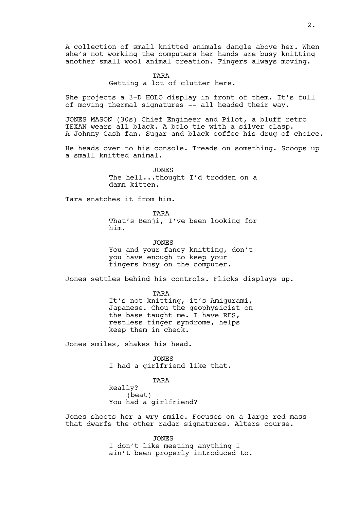A collection of small knitted animals dangle above her. When she's not working the computers her hands are busy knitting another small wool animal creation. Fingers always moving.

#### TARA

Getting a lot of clutter here.

She projects a 3-D HOLO display in front of them. It's full of moving thermal signatures -- all headed their way.

JONES MASON (30s) Chief Engineer and Pilot, a bluff retro TEXAN wears all black. A bolo tie with a silver clasp. A Johnny Cash fan. Sugar and black coffee his drug of choice.

He heads over to his console. Treads on something. Scoops up a small knitted animal.

> JONES The hell...thought I'd trodden on a damn kitten.

Tara snatches it from him.

TARA That's Benji, I've been looking for him.

JONES You and your fancy knitting, don't you have enough to keep your fingers busy on the computer.

Jones settles behind his controls. Flicks displays up.

TARA It's not knitting, it's Amigurami, Japanese. Chou the geophysicist on the base taught me. I have RFS, restless finger syndrome, helps keep them in check.

Jones smiles, shakes his head.

JONES I had a girlfriend like that.

TARA

Really? (beat) You had a girlfriend?

Jones shoots her a wry smile. Focuses on a large red mass that dwarfs the other radar signatures. Alters course.

> JONES I don't like meeting anything I ain't been properly introduced to.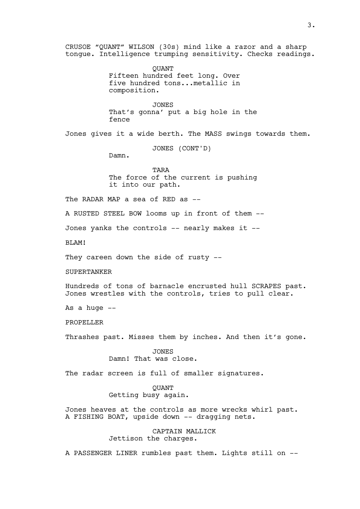CRUSOE "QUANT" WILSON (30s) mind like a razor and a sharp tongue. Intelligence trumping sensitivity. Checks readings.

> QUANT Fifteen hundred feet long. Over five hundred tons...metallic in composition.

JONES That's gonna' put a big hole in the fence

Jones gives it a wide berth. The MASS swings towards them.

JONES (CONT'D)

Damn.

TARA The force of the current is pushing it into our path.

The RADAR MAP a sea of RED as --

A RUSTED STEEL BOW looms up in front of them --

Jones yanks the controls -- nearly makes it --

BLAM!

They careen down the side of rusty --

SUPERTANKER

Hundreds of tons of barnacle encrusted hull SCRAPES past. Jones wrestles with the controls, tries to pull clear.

As a huge  $--$ 

PROPELLER

Thrashes past. Misses them by inches. And then it's gone.

JONES Damn! That was close.

The radar screen is full of smaller signatures.

**OUANT** Getting busy again.

Jones heaves at the controls as more wrecks whirl past. A FISHING BOAT, upside down -- dragging nets.

> CAPTAIN MALLICK Jettison the charges.

A PASSENGER LINER rumbles past them. Lights still on --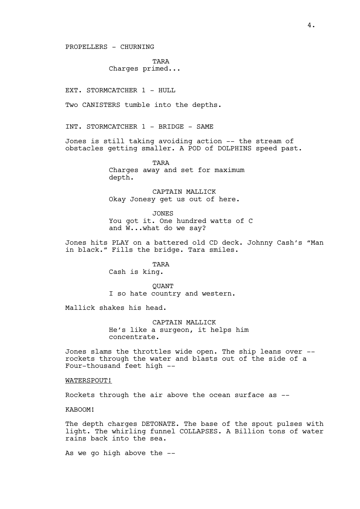PROPELLERS - CHURNING

TARA Charges primed...

EXT. STORMCATCHER 1 - HULL

Two CANISTERS tumble into the depths.

INT. STORMCATCHER 1 - BRIDGE - SAME

Jones is still taking avoiding action -- the stream of obstacles getting smaller. A POD of DOLPHINS speed past.

> TARA Charges away and set for maximum depth.

CAPTAIN MALLICK Okay Jonesy get us out of here.

JONES You got it. One hundred watts of C and W...what do we say?

Jones hits PLAY on a battered old CD deck. Johnny Cash's "Man in black." Fills the bridge. Tara smiles.

TARA

Cash is king.

**OUANT** I so hate country and western.

Mallick shakes his head.

CAPTAIN MALLICK He's like a surgeon, it helps him concentrate.

Jones slams the throttles wide open. The ship leans over - rockets through the water and blasts out of the side of a Four-thousand feet high --

## WATERSPOUT!

Rockets through the air above the ocean surface as --

KABOOM!

The depth charges DETONATE. The base of the spout pulses with light. The whirling funnel COLLAPSES. A Billion tons of water rains back into the sea.

As we go high above the --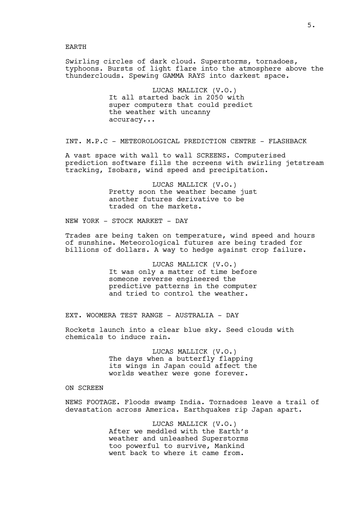Swirling circles of dark cloud. Superstorms, tornadoes, typhoons. Bursts of light flare into the atmosphere above the thunderclouds. Spewing GAMMA RAYS into darkest space.

> LUCAS MALLICK (V.O.) It all started back in 2050 with super computers that could predict the weather with uncanny accuracy...

INT. M.P.C - METEOROLOGICAL PREDICTION CENTRE - FLASHBACK

A vast space with wall to wall SCREENS. Computerised prediction software fills the screens with swirling jetstream tracking, Isobars, wind speed and precipitation.

> LUCAS MALLICK (V.O.) Pretty soon the weather became just another futures derivative to be traded on the markets.

NEW YORK - STOCK MARKET - DAY

Trades are being taken on temperature, wind speed and hours of sunshine. Meteorological futures are being traded for billions of dollars. A way to hedge against crop failure.

> LUCAS MALLICK (V.O.) It was only a matter of time before someone reverse engineered the predictive patterns in the computer and tried to control the weather.

EXT. WOOMERA TEST RANGE - AUSTRALIA - DAY

Rockets launch into a clear blue sky. Seed clouds with chemicals to induce rain.

> LUCAS MALLICK (V.O.) The days when a butterfly flapping its wings in Japan could affect the worlds weather were gone forever.

# ON SCREEN

NEWS FOOTAGE. Floods swamp India. Tornadoes leave a trail of devastation across America. Earthquakes rip Japan apart.

> LUCAS MALLICK (V.O.) After we meddled with the Earth's weather and unleashed Superstorms too powerful to survive, Mankind went back to where it came from.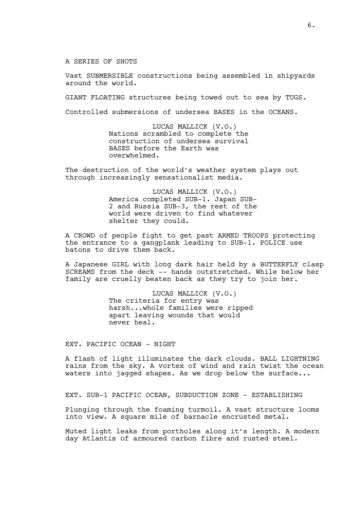A SERIES OF SHOTS

Vast SUBMERSIBLE constructions being assembled in shipyards around the world.

GIANT FLOATING structures being towed out to sea by TUGS.

Controlled submersions of undersea BASES in the OCEANS.

LUCAS MALLICK (V.O.) Nations scrambled to complete the construction of undersea survival BASES before the Earth was overwhelmed.

The destruction of the world's weather system plays out through increasingly sensationalist media.

> LUCAS MALLICK (V.O.) America completed SUB-1. Japan SUB-2 and Russia SUB-3, the rest of the world were driven to find whatever shelter they could.

A CROWD of people fight to get past ARMED TROOPS protecting the entrance to a gangplank leading to SUB-1. POLICE use batons to drive them back.

A Japanese GIRL with long dark hair held by a BUTTERFLY clasp SCREAMS from the deck -- hands outstretched. While below her family are cruelly beaten back as they try to join her.

> LUCAS MALLICK (V.O.) The criteria for entry was harsh...whole families were ripped apart leaving wounds that would never heal.

EXT. PACIFIC OCEAN - NIGHT

A flash of light illuminates the dark clouds. BALL LIGHTNING rains from the sky. A vortex of wind and rain twist the ocean waters into jagged shapes. As we drop below the surface...

EXT. SUB-1 PACIFIC OCEAN, SUBDUCTION ZONE - ESTABLISHING

Plunging through the foaming turmoil. A vast structure looms into view. A square mile of barnacle encrusted metal.

Muted light leaks from portholes along it's length. A modern day Atlantis of armoured carbon fibre and rusted steel.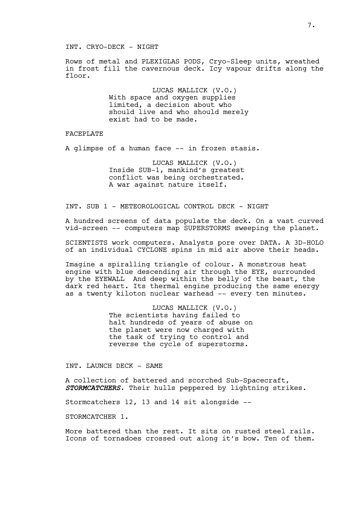## INT. CRYO-DECK - NIGHT

Rows of metal and PLEXIGLAS PODS, Cryo-Sleep units, wreathed in frost fill the cavernous deck. Icy vapour drifts along the floor.

> LUCAS MALLICK (V.O.) With space and oxygen supplies limited, a decision about who should live and who should merely exist had to be made.

#### FACEPLATE

A glimpse of a human face -- in frozen stasis.

LUCAS MALLICK (V.O.) Inside SUB-1, mankind's greatest conflict was being orchestrated. A war against nature itself.

INT. SUB 1 - METEOROLOGICAL CONTROL DECK - NIGHT

A hundred screens of data populate the deck. On a vast curved vid-screen -- computers map SUPERSTORMS sweeping the planet.

SCIENTISTS work computers. Analysts pore over DATA. A 3D-HOLO of an individual CYCLONE spins in mid air above their heads.

Imagine a spiralling triangle of colour. A monstrous heat engine with blue descending air through the EYE, surrounded by the EYEWALL And deep within the belly of the beast, the dark red heart. Its thermal engine producing the same energy as a twenty kiloton nuclear warhead -- every ten minutes.

> LUCAS MALLICK (V.O.) The scientists having failed to halt hundreds of years of abuse on the planet were now charged with the task of trying to control and reverse the cycle of superstorms.

INT. LAUNCH DECK - SAME

A collection of battered and scorched Sub-Spacecraft, *STORMCATCHERS*. Their hulls peppered by lightning strikes.

Stormcatchers 12, 13 and 14 sit alongside --

STORMCATCHER 1.

More battered than the rest. It sits on rusted steel rails. Icons of tornadoes crossed out along it's bow. Ten of them.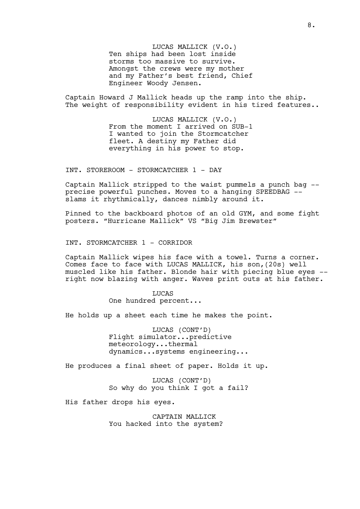LUCAS MALLICK (V.O.) Ten ships had been lost inside storms too massive to survive. Amongst the crews were my mother and my Father's best friend, Chief Engineer Woody Jensen.

Captain Howard J Mallick heads up the ramp into the ship. The weight of responsibility evident in his tired features..

> LUCAS MALLICK (V.O.) From the moment I arrived on SUB-1 I wanted to join the Stormcatcher fleet. A destiny my Father did everything in his power to stop.

INT. STOREROOM - STORMCATCHER 1 - DAY

Captain Mallick stripped to the waist pummels a punch bag - precise powerful punches. Moves to a hanging SPEEDBAG - slams it rhythmically, dances nimbly around it.

Pinned to the backboard photos of an old GYM, and some fight posters. "Hurricane Mallick" VS "Big Jim Brewster"

INT. STORMCATCHER 1 - CORRIDOR

Captain Mallick wipes his face with a towel. Turns a corner. Comes face to face with LUCAS MALLICK, his son,(20s) well muscled like his father. Blonde hair with piecing blue eyes - right now blazing with anger. Waves print outs at his father.

> LUCAS One hundred percent...

He holds up a sheet each time he makes the point.

LUCAS (CONT'D) Flight simulator...predictive meteorology...thermal dynamics...systems engineering...

He produces a final sheet of paper. Holds it up.

LUCAS (CONT'D) So why do you think I got a fail?

His father drops his eyes.

CAPTAIN MALLICK You hacked into the system?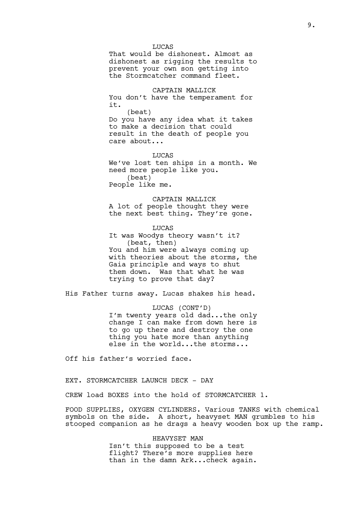LUCAS That would be dishonest. Almost as dishonest as rigging the results to prevent your own son getting into the Stormcatcher command fleet.

CAPTAIN MALLICK You don't have the temperament for it.

(beat) Do you have any idea what it takes to make a decision that could result in the death of people you care about...

LUCAS We've lost ten ships in a month. We need more people like you. (beat) People like me.

CAPTAIN MALLICK A lot of people thought they were the next best thing. They're gone.

LUCAS It was Woodys theory wasn't it? (beat, then) You and him were always coming up with theories about the storms, the Gaia principle and ways to shut them down. Was that what he was trying to prove that day?

His Father turns away. Lucas shakes his head.

LUCAS (CONT'D) I'm twenty years old dad...the only change I can make from down here is to go up there and destroy the one thing you hate more than anything else in the world...the storms...

Off his father's worried face.

EXT. STORMCATCHER LAUNCH DECK - DAY

CREW load BOXES into the hold of STORMCATCHER 1.

FOOD SUPPLIES, OXYGEN CYLINDERS. Various TANKS with chemical symbols on the side. A short, heavyset MAN grumbles to his stooped companion as he drags a heavy wooden box up the ramp.

> HEAVYSET MAN Isn't this supposed to be a test flight? There's more supplies here than in the damn Ark...check again.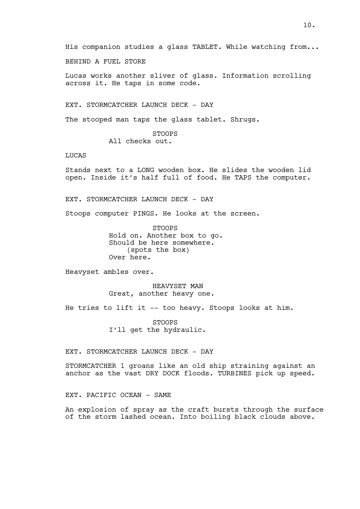His companion studies a glass TABLET. While watching from...

BEHIND A FUEL STORE

Lucas works another sliver of glass. Information scrolling across it. He taps in some code.

EXT. STORMCATCHER LAUNCH DECK - DAY

The stooped man taps the glass tablet. Shrugs.

STOOPS All checks out.

LUCAS

Stands next to a LONG wooden box. He slides the wooden lid open. Inside it's half full of food. He TAPS the computer.

EXT. STORMCATCHER LAUNCH DECK - DAY

Stoops computer PINGS. He looks at the screen.

STOOPS Hold on. Another box to go. Should be here somewhere. (spots the box) Over here.

Heavyset ambles over.

HEAVYSET MAN Great, another heavy one.

He tries to lift it -- too heavy. Stoops looks at him.

STOOPS I'll get the hydraulic.

EXT. STORMCATCHER LAUNCH DECK - DAY

STORMCATCHER 1 groans like an old ship straining against an anchor as the vast DRY DOCK floods. TURBINES pick up speed.

EXT. PACIFIC OCEAN - SAME

An explosion of spray as the craft bursts through the surface of the storm lashed ocean. Into boiling black clouds above.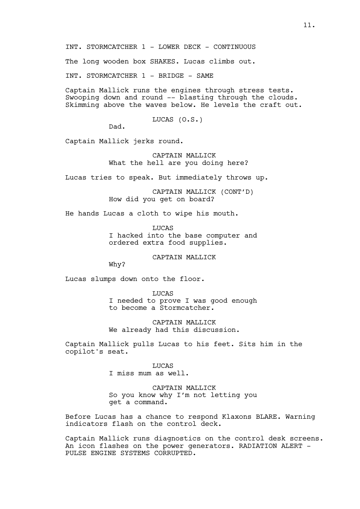INT. STORMCATCHER 1 - LOWER DECK - CONTINUOUS

The long wooden box SHAKES. Lucas climbs out.

INT. STORMCATCHER 1 - BRIDGE - SAME

Captain Mallick runs the engines through stress tests. Swooping down and round -- blasting through the clouds. Skimming above the waves below. He levels the craft out.

LUCAS (O.S.)

Dad.

Captain Mallick jerks round.

CAPTAIN MALLICK What the hell are you doing here?

Lucas tries to speak. But immediately throws up.

CAPTAIN MALLICK (CONT'D) How did you get on board?

He hands Lucas a cloth to wipe his mouth.

LUCAS I hacked into the base computer and ordered extra food supplies.

CAPTAIN MALLICK

Why?

Lucas slumps down onto the floor.

LUCAS I needed to prove I was good enough to become a Stormcatcher.

CAPTAIN MALLICK We already had this discussion.

Captain Mallick pulls Lucas to his feet. Sits him in the copilot's seat.

> LUCAS I miss mum as well.

CAPTAIN MALLICK So you know why I'm not letting you get a command.

Before Lucas has a chance to respond Klaxons BLARE. Warning indicators flash on the control deck.

Captain Mallick runs diagnostics on the control desk screens. An icon flashes on the power generators. RADIATION ALERT -PULSE ENGINE SYSTEMS CORRUPTED.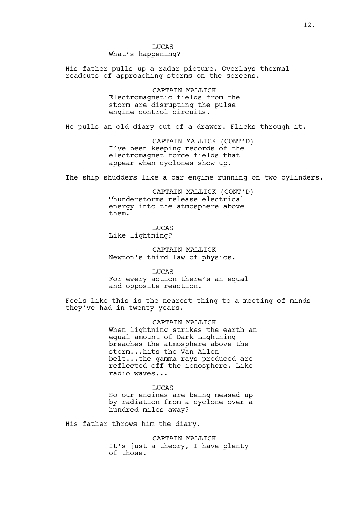LUCAS What's happening?

His father pulls up a radar picture. Overlays thermal readouts of approaching storms on the screens.

> CAPTAIN MALLICK Electromagnetic fields from the storm are disrupting the pulse engine control circuits.

He pulls an old diary out of a drawer. Flicks through it.

CAPTAIN MALLICK (CONT'D) I've been keeping records of the electromagnet force fields that appear when cyclones show up.

The ship shudders like a car engine running on two cylinders.

CAPTAIN MALLICK (CONT'D) Thunderstorms release electrical energy into the atmosphere above them.

LUCAS Like lightning?

CAPTAIN MALLICK Newton's third law of physics.

LUCAS For every action there's an equal and opposite reaction.

Feels like this is the nearest thing to a meeting of minds they've had in twenty years.

> CAPTAIN MALLICK When lightning strikes the earth an equal amount of Dark Lightning breaches the atmosphere above the storm...hits the Van Allen belt...the gamma rays produced are reflected off the ionosphere. Like radio waves...

**LUCAS** So our engines are being messed up by radiation from a cyclone over a hundred miles away?

His father throws him the diary.

CAPTAIN MALLICK It's just a theory, I have plenty of those.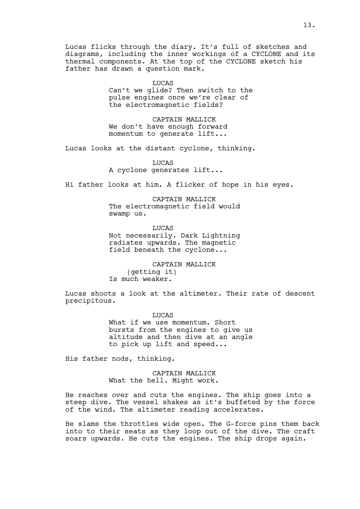Lucas flicks through the diary. It's full of sketches and diagrams, including the inner workings of a CYCLONE and its thermal components. At the top of the CYCLONE sketch his father has drawn a question mark.

#### LUCAS

Can't we glide? Then switch to the pulse engines once we're clear of the electromagnetic fields?

CAPTAIN MALLICK We don't have enough forward momentum to generate lift...

Lucas looks at the distant cyclone, thinking.

LUCAS A cyclone generates lift...

Hi father looks at him. A flicker of hope in his eyes.

CAPTAIN MALLICK The electromagnetic field would swamp us.

LUCAS Not necessarily. Dark Lightning radiates upwards. The magnetic field beneath the cyclone...

CAPTAIN MALLICK (getting it) Is much weaker.

Lucas shoots a look at the altimeter. Their rate of descent precipitous.

> LUCAS What if we use momentum. Short bursts from the engines to give us altitude and then dive at an angle to pick up lift and speed...

His father nods, thinking.

CAPTAIN MALLICK What the hell. Might work.

He reaches over and cuts the engines. The ship goes into a steep dive. The vessel shakes as it's buffeted by the force of the wind. The altimeter reading accelerates.

He slams the throttles wide open. The G-force pins them back into to their seats as they loop out of the dive. The craft soars upwards. He cuts the engines. The ship drops again.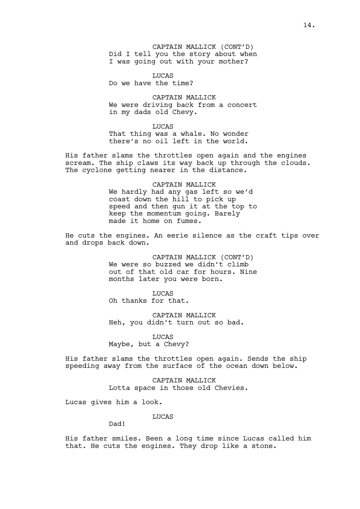CAPTAIN MALLICK (CONT'D) Did I tell you the story about when I was going out with your mother?

LUCAS Do we have the time?

CAPTAIN MALLICK We were driving back from a concert in my dads old Chevy.

LUCAS That thing was a whale. No wonder there's no oil left in the world.

His father slams the throttles open again and the engines scream. The ship claws its way back up through the clouds. The cyclone getting nearer in the distance.

> CAPTAIN MALLICK We hardly had any gas left so we'd coast down the hill to pick up speed and then gun it at the top to keep the momentum going. Barely made it home on fumes.

He cuts the engines. An eerie silence as the craft tips over and drops back down.

> CAPTAIN MALLICK (CONT'D) We were so buzzed we didn't climb out of that old car for hours. Nine months later you were born.

LUCAS Oh thanks for that.

CAPTAIN MALLICK Heh, you didn't turn out so bad.

LUCAS Maybe, but a Chevy?

His father slams the throttles open again. Sends the ship speeding away from the surface of the ocean down below.

> CAPTAIN MALLICK Lotta space in those old Chevies.

Lucas gives him a look.

LUCAS

Dad!

His father smiles. Been a long time since Lucas called him that. He cuts the engines. They drop like a stone.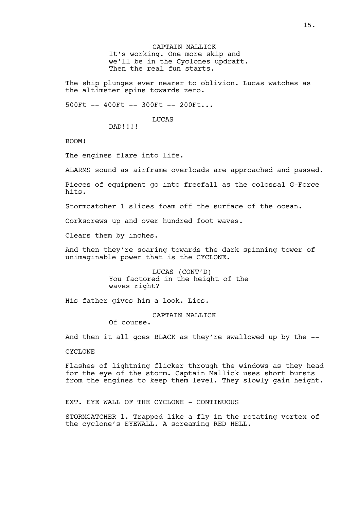CAPTAIN MALLICK It's working. One more skip and we'll be in the Cyclones updraft. Then the real fun starts.

The ship plunges ever nearer to oblivion. Lucas watches as the altimeter spins towards zero.

500Ft -- 400Ft -- 300Ft -- 200Ft...

**LUCAS** 

DAD!!!!

BOOM!

The engines flare into life.

ALARMS sound as airframe overloads are approached and passed.

Pieces of equipment go into freefall as the colossal G-Force hits.

Stormcatcher 1 slices foam off the surface of the ocean.

Corkscrews up and over hundred foot waves.

Clears them by inches.

And then they're soaring towards the dark spinning tower of unimaginable power that is the CYCLONE.

> LUCAS (CONT'D) You factored in the height of the waves right?

His father gives him a look. Lies.

CAPTAIN MALLICK

Of course.

And then it all goes BLACK as they're swallowed up by the --

CYCLONE

Flashes of lightning flicker through the windows as they head for the eye of the storm. Captain Mallick uses short bursts from the engines to keep them level. They slowly gain height.

EXT. EYE WALL OF THE CYCLONE - CONTINUOUS

STORMCATCHER 1. Trapped like a fly in the rotating vortex of the cyclone's EYEWALL. A screaming RED HELL.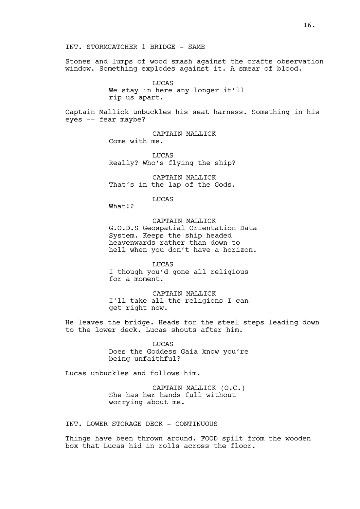INT. STORMCATCHER 1 BRIDGE - SAME

Stones and lumps of wood smash against the crafts observation window. Something explodes against it. A smear of blood.

> LUCAS We stay in here any longer it'll rip us apart.

Captain Mallick unbuckles his seat harness. Something in his eyes -- fear maybe?

> CAPTAIN MALLICK Come with me.

LUCAS Really? Who's flying the ship?

CAPTAIN MALLICK That's in the lap of the Gods.

LUCAS

What!?

CAPTAIN MALLICK G.O.D.S Geospatial Orientation Data System. Keeps the ship headed heavenwards rather than down to hell when you don't have a horizon.

LUCAS I though you'd gone all religious for a moment.

CAPTAIN MALLICK I'll take all the religions I can get right now.

He leaves the bridge. Heads for the steel steps leading down to the lower deck. Lucas shouts after him.

> LUCAS Does the Goddess Gaia know you're being unfaithful?

Lucas unbuckles and follows him.

CAPTAIN MALLICK (O.C.) She has her hands full without worrying about me.

INT. LOWER STORAGE DECK - CONTINUOUS

Things have been thrown around. FOOD spilt from the wooden box that Lucas hid in rolls across the floor.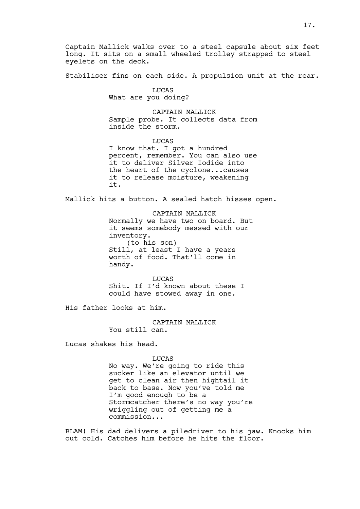Captain Mallick walks over to a steel capsule about six feet long. It sits on a small wheeled trolley strapped to steel eyelets on the deck.

Stabiliser fins on each side. A propulsion unit at the rear.

LUCAS

What are you doing?

CAPTAIN MALLICK Sample probe. It collects data from inside the storm.

LUCAS I know that. I got a hundred percent, remember. You can also use it to deliver Silver Iodide into the heart of the cyclone...causes it to release moisture, weakening it.

Mallick hits a button. A sealed hatch hisses open.

CAPTAIN MALLICK Normally we have two on board. But it seems somebody messed with our inventory. (to his son) Still, at least I have a years worth of food. That'll come in handy.

LUCAS Shit. If I'd known about these I could have stowed away in one.

His father looks at him.

CAPTAIN MALLICK You still can.

Lucas shakes his head.

LUCAS

No way. We're going to ride this sucker like an elevator until we get to clean air then hightail it back to base. Now you've told me I'm good enough to be a Stormcatcher there's no way you're wriggling out of getting me a commission...

BLAM! His dad delivers a piledriver to his jaw. Knocks him out cold. Catches him before he hits the floor.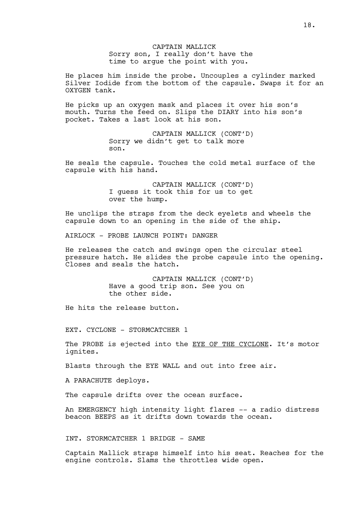# CAPTAIN MALLICK Sorry son, I really don't have the time to argue the point with you.

He places him inside the probe. Uncouples a cylinder marked Silver Iodide from the bottom of the capsule. Swaps it for an OXYGEN tank.

He picks up an oxygen mask and places it over his son's mouth. Turns the feed on. Slips the DIARY into his son's pocket. Takes a last look at his son.

> CAPTAIN MALLICK (CONT'D) Sorry we didn't get to talk more son.

He seals the capsule. Touches the cold metal surface of the capsule with his hand.

> CAPTAIN MALLICK (CONT'D) I guess it took this for us to get over the hump.

He unclips the straps from the deck eyelets and wheels the capsule down to an opening in the side of the ship.

AIRLOCK - PROBE LAUNCH POINT: DANGER

He releases the catch and swings open the circular steel pressure hatch. He slides the probe capsule into the opening. Closes and seals the hatch.

> CAPTAIN MALLICK (CONT'D) Have a good trip son. See you on the other side.

He hits the release button.

EXT. CYCLONE - STORMCATCHER 1

The PROBE is ejected into the EYE OF THE CYCLONE. It's motor ignites.

Blasts through the EYE WALL and out into free air.

A PARACHUTE deploys.

The capsule drifts over the ocean surface.

An EMERGENCY high intensity light flares -- a radio distress beacon BEEPS as it drifts down towards the ocean.

INT. STORMCATCHER 1 BRIDGE - SAME

Captain Mallick straps himself into his seat. Reaches for the engine controls. Slams the throttles wide open.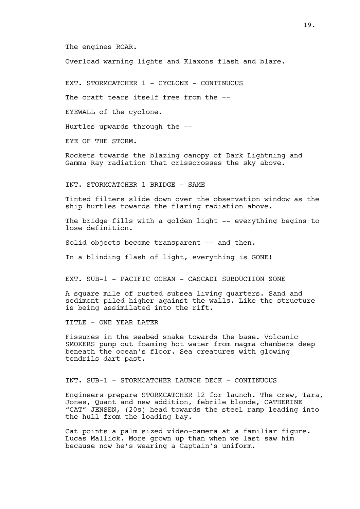The engines ROAR.

Overload warning lights and Klaxons flash and blare.

EXT. STORMCATCHER 1 - CYCLONE - CONTINUOUS

The craft tears itself free from the --

EYEWALL of the cyclone.

Hurtles upwards through the --

EYE OF THE STORM.

Rockets towards the blazing canopy of Dark Lightning and Gamma Ray radiation that crisscrosses the sky above.

INT. STORMCATCHER 1 BRIDGE - SAME

Tinted filters slide down over the observation window as the ship hurtles towards the flaring radiation above.

The bridge fills with a golden light -- everything begins to lose definition.

Solid objects become transparent -- and then.

In a blinding flash of light, everything is GONE!

EXT. SUB-1 - PACIFIC OCEAN - CASCADI SUBDUCTION ZONE

A square mile of rusted subsea living quarters. Sand and sediment piled higher against the walls. Like the structure is being assimilated into the rift.

TITLE - ONE YEAR LATER

Fissures in the seabed snake towards the base. Volcanic SMOKERS pump out foaming hot water from magma chambers deep beneath the ocean's floor. Sea creatures with glowing tendrils dart past.

INT. SUB-1 - STORMCATCHER LAUNCH DECK - CONTINUOUS

Engineers prepare STORMCATCHER 12 for launch. The crew, Tara, Jones, Quant and new addition, febrile blonde, CATHERINE "CAT" JENSEN, (20s) head towards the steel ramp leading into the hull from the loading bay.

Cat points a palm sized video-camera at a familiar figure. Lucas Mallick. More grown up than when we last saw him because now he's wearing a Captain's uniform.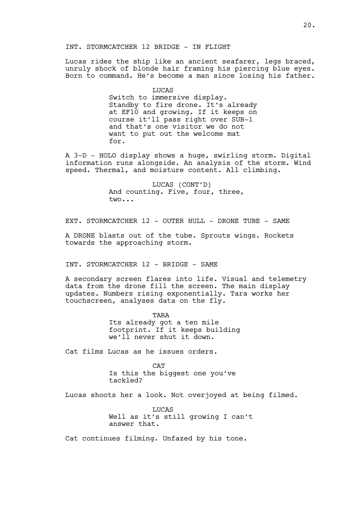# INT. STORMCATCHER 12 BRIDGE - IN FLIGHT

Lucas rides the ship like an ancient seafarer, legs braced, unruly shock of blonde hair framing his piercing blue eyes. Born to command. He's become a man since losing his father.

> LUCAS Switch to immersive display. Standby to fire drone. It's already at EF10 and growing. If it keeps on course it'll pass right over SUB-1 and that's one visitor we do not want to put out the welcome mat for.

A 3-D - HOLO display shows a huge, swirling storm. Digital information runs alongside. An analysis of the storm. Wind speed. Thermal, and moisture content. All climbing.

> LUCAS (CONT'D) And counting. Five, four, three, two...

EXT. STORMCATCHER 12 - OUTER HULL - DRONE TUBE - SAME

A DRONE blasts out of the tube. Sprouts wings. Rockets towards the approaching storm.

INT. STORMCATCHER 12 - BRIDGE - SAME

A secondary screen flares into life. Visual and telemetry data from the drone fill the screen. The main display updates. Numbers rising exponentially. Tara works her touchscreen, analyses data on the fly.

> TARA Its already got a ten mile footprint. If it keeps building we'll never shut it down.

Cat films Lucas as he issues orders.

CAT Is this the biggest one you've tackled?

Lucas shoots her a look. Not overjoyed at being filmed.

**LUCAS** Well as it's still growing I can't answer that.

Cat continues filming. Unfazed by his tone.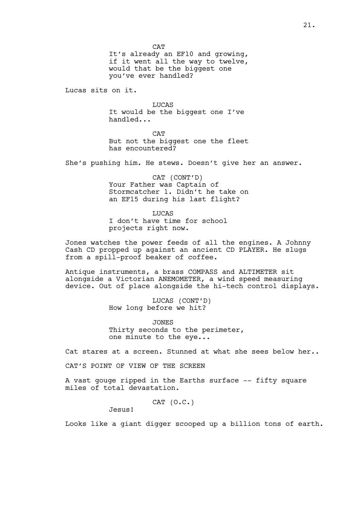It's already an EF10 and growing, if it went all the way to twelve, would that be the biggest one you've ever handled?

Lucas sits on it.

LUCAS It would be the biggest one I've handled...

CAT But not the biggest one the fleet has encountered?

She's pushing him. He stews. Doesn't give her an answer.

CAT (CONT'D) Your Father was Captain of Stormcatcher 1. Didn't he take on an EF15 during his last flight?

LUCAS I don't have time for school projects right now.

Jones watches the power feeds of all the engines. A Johnny Cash CD propped up against an ancient CD PLAYER. He slugs from a spill-proof beaker of coffee.

Antique instruments, a brass COMPASS and ALTIMETER sit alongside a Victorian ANEMOMETER, a wind speed measuring device. Out of place alongside the hi-tech control displays.

> LUCAS (CONT'D) How long before we hit?

JONES Thirty seconds to the perimeter, one minute to the eye...

Cat stares at a screen. Stunned at what she sees below her..

CAT'S POINT OF VIEW OF THE SCREEN

A vast gouge ripped in the Earths surface -- fifty square miles of total devastation.

CAT (O.C.)

Jesus!

Looks like a giant digger scooped up a billion tons of earth.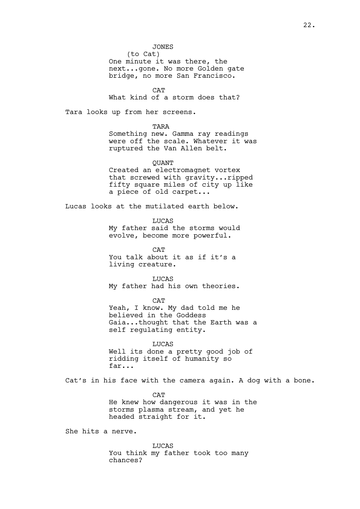# JONES

(to Cat) One minute it was there, the next...gone. No more Golden gate bridge, no more San Francisco.

**CAT** 

What kind of a storm does that?

Tara looks up from her screens.

TARA

Something new. Gamma ray readings were off the scale. Whatever it was ruptured the Van Allen belt.

QUANT Created an electromagnet vortex that screwed with gravity...ripped fifty square miles of city up like a piece of old carpet...

Lucas looks at the mutilated earth below.

LUCAS

My father said the storms would evolve, become more powerful.

**CAT** You talk about it as if it's a living creature.

LUCAS My father had his own theories.

**CAT** Yeah, I know. My dad told me he believed in the Goddess Gaia...thought that the Earth was a self regulating entity.

LUCAS Well its done a pretty good job of ridding itself of humanity so far...

Cat's in his face with the camera again. A dog with a bone.

**CAT** He knew how dangerous it was in the storms plasma stream, and yet he headed straight for it.

She hits a nerve.

LUCAS You think my father took too many chances?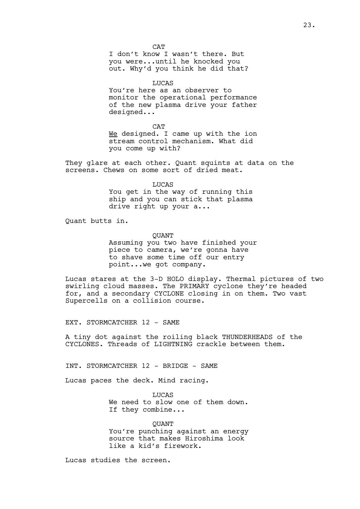**CAT** I don't know I wasn't there. But you were...until he knocked you out. Why'd you think he did that?

LUCAS

You're here as an observer to monitor the operational performance of the new plasma drive your father designed...

CAT We designed. I came up with the ion stream control mechanism. What did you come up with?

They glare at each other. Quant squints at data on the screens. Chews on some sort of dried meat.

## LUCAS

You get in the way of running this ship and you can stick that plasma drive right up your a...

Quant butts in.

**OUANT** 

Assuming you two have finished your piece to camera, we're gonna have to shave some time off our entry point...we got company.

Lucas stares at the 3-D HOLO display. Thermal pictures of two swirling cloud masses. The PRIMARY cyclone they're headed for, and a secondary CYCLONE closing in on them. Two vast Supercells on a collision course.

EXT. STORMCATCHER 12 - SAME

A tiny dot against the roiling black THUNDERHEADS of the CYCLONES. Threads of LIGHTNING crackle between them.

INT. STORMCATCHER 12 - BRIDGE - SAME

Lucas paces the deck. Mind racing.

LUCAS We need to slow one of them down. If they combine...

**OUANT** You're punching against an energy source that makes Hiroshima look like a kid's firework.

Lucas studies the screen.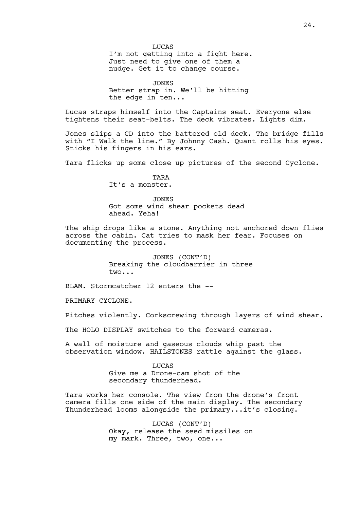**TJUCAS** I'm not getting into a fight here. Just need to give one of them a nudge. Get it to change course.

JONES Better strap in. We'll be hitting the edge in ten...

Lucas straps himself into the Captains seat. Everyone else tightens their seat-belts. The deck vibrates. Lights dim.

Jones slips a CD into the battered old deck. The bridge fills with "I Walk the line." By Johnny Cash. Quant rolls his eyes. Sticks his fingers in his ears.

Tara flicks up some close up pictures of the second Cyclone.

TARA It's a monster.

JONES Got some wind shear pockets dead ahead. Yeha!

The ship drops like a stone. Anything not anchored down flies across the cabin. Cat tries to mask her fear. Focuses on documenting the process.

> JONES (CONT'D) Breaking the cloudbarrier in three two...

BLAM. Stormcatcher 12 enters the --

PRIMARY CYCLONE.

Pitches violently. Corkscrewing through layers of wind shear.

The HOLO DISPLAY switches to the forward cameras.

A wall of moisture and gaseous clouds whip past the observation window. HAILSTONES rattle against the glass.

> **LUCAS** Give me a Drone-cam shot of the secondary thunderhead.

Tara works her console. The view from the drone's front camera fills one side of the main display. The secondary Thunderhead looms alongside the primary...it's closing.

> LUCAS (CONT'D) Okay, release the seed missiles on my mark. Three, two, one...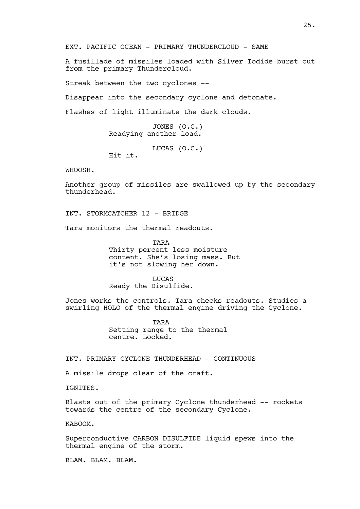EXT. PACIFIC OCEAN - PRIMARY THUNDERCLOUD - SAME

A fusillade of missiles loaded with Silver Iodide burst out from the primary Thundercloud.

Streak between the two cyclones --

Disappear into the secondary cyclone and detonate.

Flashes of light illuminate the dark clouds.

JONES (O.C.) Readying another load.

LUCAS (O.C.) Hit it.

WHOOSH.

Another group of missiles are swallowed up by the secondary thunderhead.

INT. STORMCATCHER 12 - BRIDGE

Tara monitors the thermal readouts.

TARA Thirty percent less moisture content. She's losing mass. But it's not slowing her down.

LUCAS Ready the Disulfide.

Jones works the controls. Tara checks readouts. Studies a swirling HOLO of the thermal engine driving the Cyclone.

> TARA Setting range to the thermal centre. Locked.

INT. PRIMARY CYCLONE THUNDERHEAD - CONTINUOUS

A missile drops clear of the craft.

IGNITES.

Blasts out of the primary Cyclone thunderhead -- rockets towards the centre of the secondary Cyclone.

KABOOM.

Superconductive CARBON DISULFIDE liquid spews into the thermal engine of the storm.

BLAM. BLAM. BLAM.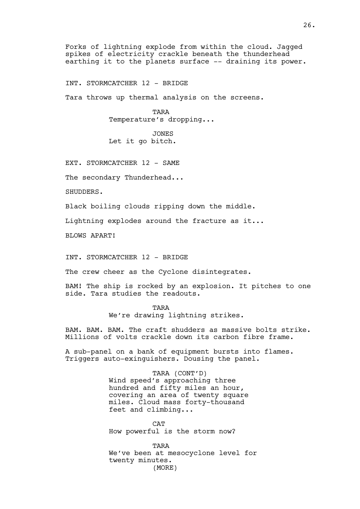Forks of lightning explode from within the cloud. Jagged spikes of electricity crackle beneath the thunderhead earthing it to the planets surface -- draining its power.

INT. STORMCATCHER 12 - BRIDGE

Tara throws up thermal analysis on the screens.

TARA Temperature's dropping...

JONES Let it go bitch.

EXT. STORMCATCHER 12 - SAME

The secondary Thunderhead...

SHUDDERS.

Black boiling clouds ripping down the middle.

Lightning explodes around the fracture as it...

BLOWS APART!

INT. STORMCATCHER 12 - BRIDGE

The crew cheer as the Cyclone disintegrates.

BAM! The ship is rocked by an explosion. It pitches to one side. Tara studies the readouts.

> **TARA** We're drawing lightning strikes.

BAM. BAM. BAM. The craft shudders as massive bolts strike. Millions of volts crackle down its carbon fibre frame.

A sub-panel on a bank of equipment bursts into flames. Triggers auto-exinguishers. Dousing the panel.

> TARA (CONT'D) Wind speed's approaching three hundred and fifty miles an hour, covering an area of twenty square miles. Cloud mass forty-thousand feet and climbing...

**CAT** How powerful is the storm now?

TARA We've been at mesocyclone level for twenty minutes. (MORE)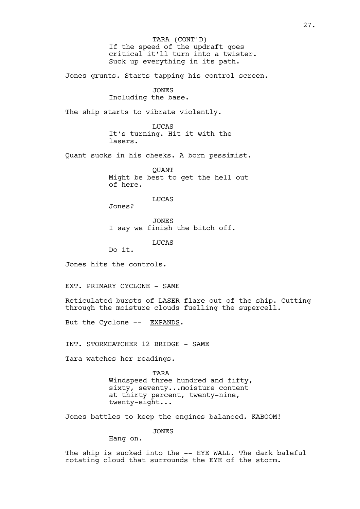If the speed of the updraft goes critical it'll turn into a twister. Suck up everything in its path. TARA (CONT'D)

Jones grunts. Starts tapping his control screen.

JONES

Including the base.

The ship starts to vibrate violently.

LUCAS It's turning. Hit it with the lasers.

Quant sucks in his cheeks. A born pessimist.

**OUANT** Might be best to get the hell out of here.

LUCAS

Jones?

JONES I say we finish the bitch off.

LUCAS

Do it.

Jones hits the controls.

EXT. PRIMARY CYCLONE - SAME

Reticulated bursts of LASER flare out of the ship. Cutting through the moisture clouds fuelling the supercell.

But the Cyclone -- EXPANDS.

INT. STORMCATCHER 12 BRIDGE - SAME

Tara watches her readings.

TARA Windspeed three hundred and fifty, sixty, seventy...moisture content at thirty percent, twenty-nine, twenty-eight...

Jones battles to keep the engines balanced. KABOOM!

JONES

Hang on.

The ship is sucked into the -- EYE WALL. The dark baleful rotating cloud that surrounds the EYE of the storm.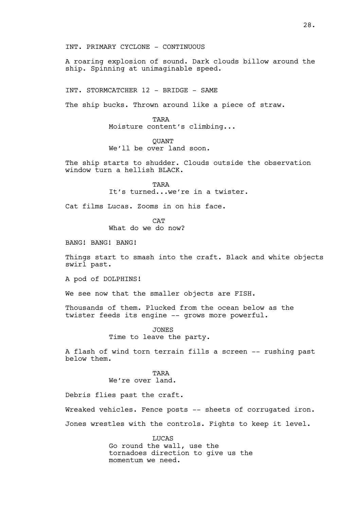INT. PRIMARY CYCLONE - CONTINUOUS

A roaring explosion of sound. Dark clouds billow around the ship. Spinning at unimaginable speed.

INT. STORMCATCHER 12 - BRIDGE - SAME

The ship bucks. Thrown around like a piece of straw.

TARA Moisture content's climbing...

**OUANT** We'll be over land soon.

The ship starts to shudder. Clouds outside the observation window turn a hellish BLACK.

> **TARA** It's turned...we're in a twister.

Cat films Lucas. Zooms in on his face.

**CAT** 

What do we do now?

BANG! BANG! BANG!

Things start to smash into the craft. Black and white objects swirl past.

A pod of DOLPHINS!

We see now that the smaller objects are FISH.

Thousands of them. Plucked from the ocean below as the twister feeds its engine -- grows more powerful.

> JONES Time to leave the party.

A flash of wind torn terrain fills a screen -- rushing past below them.

> TARA We're over land.

Debris flies past the craft.

Wreaked vehicles. Fence posts -- sheets of corrugated iron.

Jones wrestles with the controls. Fights to keep it level.

LUCAS Go round the wall, use the tornadoes direction to give us the momentum we need.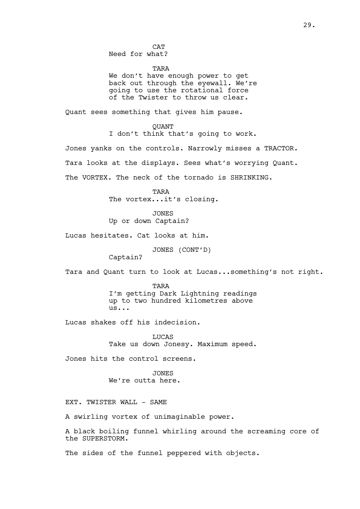Need for what?

TARA

We don't have enough power to get back out through the eyewall. We're going to use the rotational force of the Twister to throw us clear.

Quant sees something that gives him pause.

QUANT I don't think that's going to work.

Jones yanks on the controls. Narrowly misses a TRACTOR. Tara looks at the displays. Sees what's worrying Quant. The VORTEX. The neck of the tornado is SHRINKING.

> TARA The vortex...it's closing.

JONES Up or down Captain?

Lucas hesitates. Cat looks at him.

JONES (CONT'D)

Captain?

Tara and Quant turn to look at Lucas...something's not right.

TARA I'm getting Dark Lightning readings up to two hundred kilometres above us...

Lucas shakes off his indecision.

LUCAS Take us down Jonesy. Maximum speed.

Jones hits the control screens.

JONES We're outta here.

EXT. TWISTER WALL - SAME

A swirling vortex of unimaginable power.

A black boiling funnel whirling around the screaming core of the SUPERSTORM.

The sides of the funnel peppered with objects.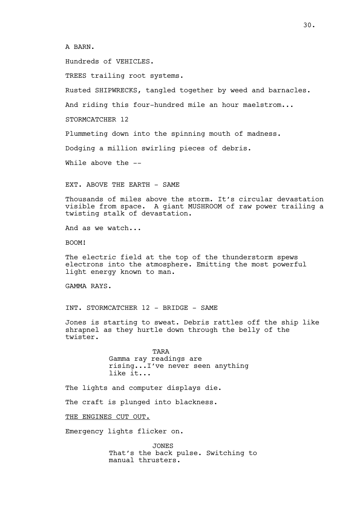# A BARN.

Hundreds of VEHICLES.

TREES trailing root systems.

Rusted SHIPWRECKS, tangled together by weed and barnacles.

And riding this four-hundred mile an hour maelstrom...

STORMCATCHER 12

Plummeting down into the spinning mouth of madness.

Dodging a million swirling pieces of debris.

While above the --

EXT. ABOVE THE EARTH - SAME

Thousands of miles above the storm. It's circular devastation visible from space. A giant MUSHROOM of raw power trailing a twisting stalk of devastation.

And as we watch...

BOOM!

The electric field at the top of the thunderstorm spews electrons into the atmosphere. Emitting the most powerful light energy known to man.

GAMMA RAYS.

INT. STORMCATCHER 12 - BRIDGE - SAME

Jones is starting to sweat. Debris rattles off the ship like shrapnel as they hurtle down through the belly of the twister.

> TARA Gamma ray readings are rising...I've never seen anything like it...

The lights and computer displays die.

The craft is plunged into blackness.

THE ENGINES CUT OUT.

Emergency lights flicker on.

JONES That's the back pulse. Switching to manual thrusters.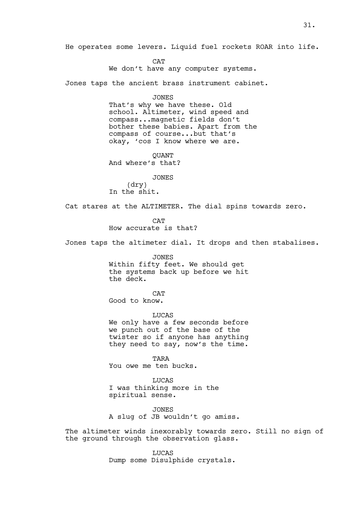He operates some levers. Liquid fuel rockets ROAR into life.

CAT We don't have any computer systems.

Jones taps the ancient brass instrument cabinet.

JONES

That's why we have these. Old school. Altimeter, wind speed and compass...magnetic fields don't bother these babies. Apart from the compass of course...but that's okay, 'cos I know where we are.

QUANT And where's that?

JONES (dry) In the shit.

Cat stares at the ALTIMETER. The dial spins towards zero.

**CAT** 

How accurate is that?

Jones taps the altimeter dial. It drops and then stabalises.

JONES Within fifty feet. We should get the systems back up before we hit the deck.

**CAT** 

Good to know.

LUCAS

We only have a few seconds before we punch out of the base of the twister so if anyone has anything they need to say, now's the time.

TARA You owe me ten bucks.

**LUCAS** I was thinking more in the spiritual sense.

JONES A slug of JB wouldn't go amiss.

The altimeter winds inexorably towards zero. Still no sign of the ground through the observation glass.

> LUCAS Dump some Disulphide crystals.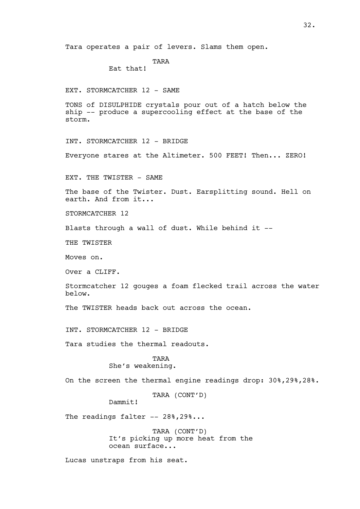Tara operates a pair of levers. Slams them open.

TARA

Eat that!

EXT. STORMCATCHER 12 - SAME

TONS of DISULPHIDE crystals pour out of a hatch below the ship -- produce a supercooling effect at the base of the storm.

INT. STORMCATCHER 12 - BRIDGE

Everyone stares at the Altimeter. 500 FEET! Then... ZERO!

EXT. THE TWISTER - SAME

The base of the Twister. Dust. Earsplitting sound. Hell on earth. And from it...

STORMCATCHER 12

Blasts through a wall of dust. While behind it --

THE TWISTER

Moves on.

Over a CLIFF.

Stormcatcher 12 gouges a foam flecked trail across the water below.

The TWISTER heads back out across the ocean.

INT. STORMCATCHER 12 - BRIDGE

Tara studies the thermal readouts.

TARA She's weakening.

On the screen the thermal engine readings drop: 30%,29%,28%.

TARA (CONT'D)

Dammit!

The readings falter -- 28%, 29%...

TARA (CONT'D) It's picking up more heat from the ocean surface...

Lucas unstraps from his seat.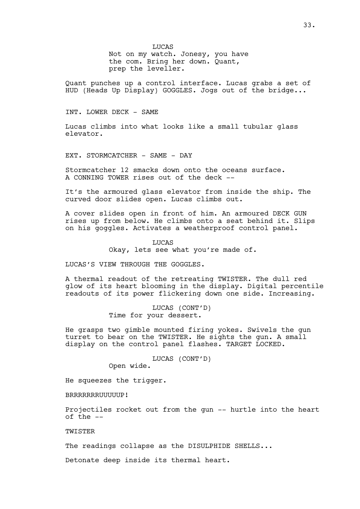LUCAS Not on my watch. Jonesy, you have the com. Bring her down. Quant, prep the leveller.

Quant punches up a control interface. Lucas grabs a set of HUD (Heads Up Display) GOGGLES. Jogs out of the bridge...

#### INT. LOWER DECK - SAME

Lucas climbs into what looks like a small tubular glass elevator.

EXT. STORMCATCHER - SAME - DAY

Stormcatcher 12 smacks down onto the oceans surface. A CONNING TOWER rises out of the deck --

It's the armoured glass elevator from inside the ship. The curved door slides open. Lucas climbs out.

A cover slides open in front of him. An armoured DECK GUN rises up from below. He climbs onto a seat behind it. Slips on his goggles. Activates a weatherproof control panel.

LUCAS

Okay, lets see what you're made of.

LUCAS'S VIEW THROUGH THE GOGGLES.

A thermal readout of the retreating TWISTER. The dull red glow of its heart blooming in the display. Digital percentile readouts of its power flickering down one side. Increasing.

> LUCAS (CONT'D) Time for your dessert.

He grasps two gimble mounted firing yokes. Swivels the gun turret to bear on the TWISTER. He sights the gun. A small display on the control panel flashes. TARGET LOCKED.

LUCAS (CONT'D)

Open wide.

He squeezes the trigger.

BRRRRRRRUUUUUP!

Projectiles rocket out from the gun -- hurtle into the heart of the --

**TWISTER** 

The readings collapse as the DISULPHIDE SHELLS...

Detonate deep inside its thermal heart.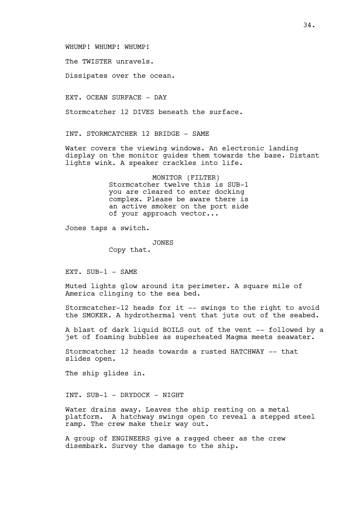## WHUMP! WHUMP! WHUMP!

The TWISTER unravels.

Dissipates over the ocean.

EXT. OCEAN SURFACE - DAY

Stormcatcher 12 DIVES beneath the surface.

INT. STORMCATCHER 12 BRIDGE - SAME

Water covers the viewing windows. An electronic landing display on the monitor guides them towards the base. Distant lights wink. A speaker crackles into life.

> MONITOR (FILTER) Stormcatcher twelve this is SUB-1 you are cleared to enter docking complex. Please be aware there is an active smoker on the port side of your approach vector...

Jones taps a switch.

JONES

Copy that.

EXT. SUB-1 - SAME

Muted lights glow around its perimeter. A square mile of America clinging to the sea bed.

Stormcatcher-12 heads for it -- swings to the right to avoid the SMOKER. A hydrothermal vent that juts out of the seabed.

A blast of dark liquid BOILS out of the vent -- followed by a jet of foaming bubbles as superheated Magma meets seawater.

Stormcatcher 12 heads towards a rusted HATCHWAY -- that slides open.

The ship glides in.

INT. SUB-1 - DRYDOCK - NIGHT

Water drains away. Leaves the ship resting on a metal platform. A hatchway swings open to reveal a stepped steel ramp. The crew make their way out.

A group of ENGINEERS give a ragged cheer as the crew disembark. Survey the damage to the ship.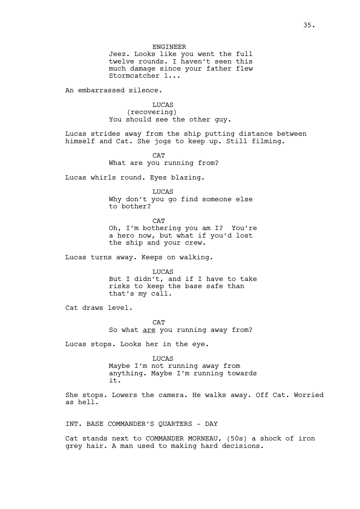#### ENGINEER

Jeez. Looks like you went the full twelve rounds. I haven't seen this much damage since your father flew Stormcatcher 1...

An embarrassed silence.

LUCAS (recovering) You should see the other guy.

Lucas strides away from the ship putting distance between himself and Cat. She jogs to keep up. Still filming.

> **CAT** What are you running from?

Lucas whirls round. Eyes blazing.

LUCAS

Why don't you go find someone else to bother?

**CAT** 

Oh, I'm bothering you am I? You're a hero now, but what if you'd lost the ship and your crew.

Lucas turns away. Keeps on walking.

LUCAS But I didn't, and if I have to take risks to keep the base safe than that's my call.

Cat draws level.

**CAT** So what are you running away from?

Lucas stops. Looks her in the eye.

LUCAS Maybe I'm not running away from anything. Maybe I'm running towards it.

She stops. Lowers the camera. He walks away. Off Cat. Worried as hell.

INT. BASE COMMANDER'S QUARTERS - DAY

Cat stands next to COMMANDER MORNEAU, (50s) a shock of iron grey hair. A man used to making hard decisions.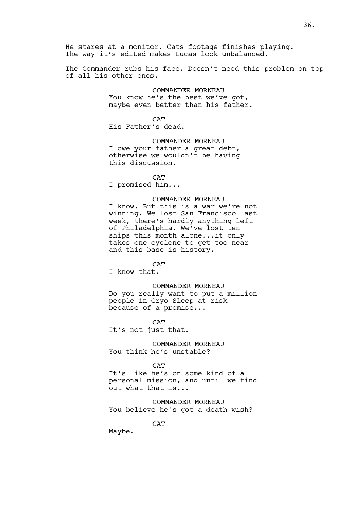He stares at a monitor. Cats footage finishes playing. The way it's edited makes Lucas look unbalanced.

The Commander rubs his face. Doesn't need this problem on top of all his other ones.

> COMMANDER MORNEAU You know he's the best we've got, maybe even better than his father.

**CAT** His Father's dead.

COMMANDER MORNEAU I owe your father a great debt, otherwise we wouldn't be having this discussion.

**CAT** 

I promised him...

# COMMANDER MORNEAU

I know. But this is a war we're not winning. We lost San Francisco last week, there's hardly anything left of Philadelphia. We've lost ten ships this month alone...it only takes one cyclone to get too near and this base is history.

**CAT** 

I know that.

COMMANDER MORNEAU

Do you really want to put a million people in Cryo-Sleep at risk because of a promise...

**CAT** 

It's not just that.

COMMANDER MORNEAU You think he's unstable?

CAT

It's like he's on some kind of a personal mission, and until we find out what that is...

COMMANDER MORNEAU You believe he's got a death wish?

**CAT** 

Maybe.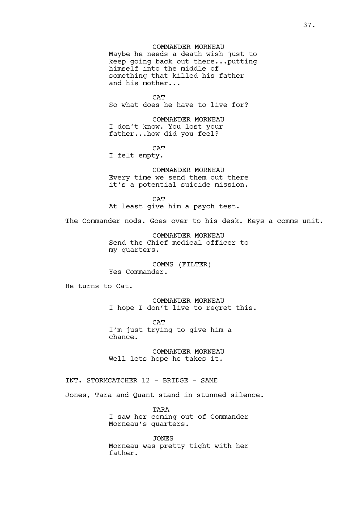COMMANDER MORNEAU Maybe he needs a death wish just to keep going back out there...putting himself into the middle of something that killed his father and his mother...

**CAT** So what does he have to live for?

COMMANDER MORNEAU I don't know. You lost your father...how did you feel?

**CAT** I felt empty.

COMMANDER MORNEAU Every time we send them out there it's a potential suicide mission.

**CAT** At least give him a psych test.

The Commander nods. Goes over to his desk. Keys a comms unit.

COMMANDER MORNEAU Send the Chief medical officer to my quarters.

COMMS (FILTER) Yes Commander.

He turns to Cat.

COMMANDER MORNEAU I hope I don't live to regret this.

**CAT** I'm just trying to give him a chance.

COMMANDER MORNEAU Well lets hope he takes it.

INT. STORMCATCHER 12 - BRIDGE - SAME

Jones, Tara and Quant stand in stunned silence.

TARA I saw her coming out of Commander Morneau's quarters.

JONES Morneau was pretty tight with her father.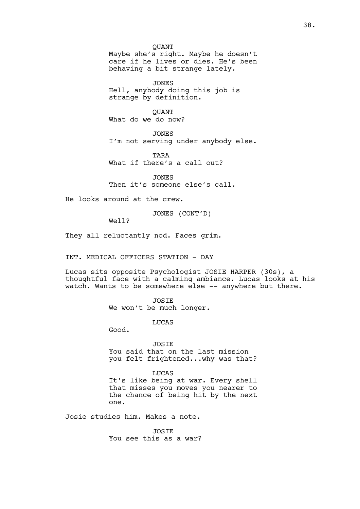QUANT Maybe she's right. Maybe he doesn't care if he lives or dies. He's been behaving a bit strange lately.

JONES Hell, anybody doing this job is strange by definition.

**OUANT** What do we do now?

JONES I'm not serving under anybody else.

TARA What if there's a call out?

JONES Then it's someone else's call.

He looks around at the crew.

JONES (CONT'D)

Well?

They all reluctantly nod. Faces grim.

INT. MEDICAL OFFICERS STATION - DAY

Lucas sits opposite Psychologist JOSIE HARPER (30s), a thoughtful face with a calming ambiance. Lucas looks at his watch. Wants to be somewhere else -- anywhere but there.

JOSIE

We won't be much longer.

LUCAS

Good.

JOSIE

You said that on the last mission you felt frightened...why was that?

LUCAS

It's like being at war. Every shell that misses you moves you nearer to the chance of being hit by the next one.

Josie studies him. Makes a note.

**JOSTE** You see this as a war?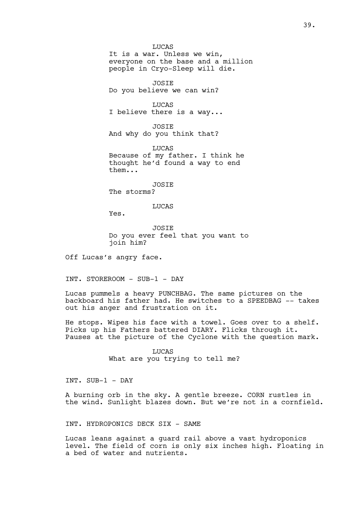LUCAS It is a war. Unless we win, everyone on the base and a million people in Cryo-Sleep will die.

JOSIE Do you believe we can win?

LUCAS I believe there is a way...

JOSIE And why do you think that?

LUCAS Because of my father. I think he thought he'd found a way to end them...

JOSIE

The storms?

LUCAS

Yes.

JOSIE Do you ever feel that you want to join him?

Off Lucas's angry face.

INT. STOREROOM - SUB-1 - DAY

Lucas pummels a heavy PUNCHBAG. The same pictures on the backboard his father had. He switches to a SPEEDBAG -- takes out his anger and frustration on it.

He stops. Wipes his face with a towel. Goes over to a shelf. Picks up his Fathers battered DIARY. Flicks through it. Pauses at the picture of the Cyclone with the question mark.

> LUCAS What are you trying to tell me?

INT. SUB-1 - DAY

A burning orb in the sky. A gentle breeze. CORN rustles in the wind. Sunlight blazes down. But we're not in a cornfield.

INT. HYDROPONICS DECK SIX - SAME

Lucas leans against a guard rail above a vast hydroponics level. The field of corn is only six inches high. Floating in a bed of water and nutrients.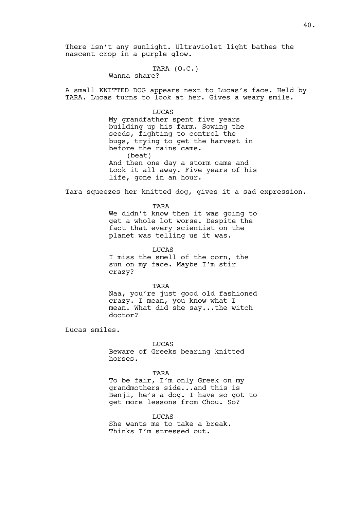There isn't any sunlight. Ultraviolet light bathes the nascent crop in a purple glow.

TARA (O.C.)

Wanna share?

A small KNITTED DOG appears next to Lucas's face. Held by TARA. Lucas turns to look at her. Gives a weary smile.

## LUCAS

My grandfather spent five years building up his farm. Sowing the seeds, fighting to control the bugs, trying to get the harvest in before the rains came. (beat) And then one day a storm came and took it all away. Five years of his life, gone in an hour.

Tara squeezes her knitted dog, gives it a sad expression.

TARA We didn't know then it was going to get a whole lot worse. Despite the fact that every scientist on the planet was telling us it was.

**LUCAS** I miss the smell of the corn, the sun on my face. Maybe I'm stir crazy?

TARA

Naa, you're just good old fashioned crazy. I mean, you know what I mean. What did she say...the witch doctor?

Lucas smiles.

#### LUCAS

Beware of Greeks bearing knitted horses.

## TARA

To be fair, I'm only Greek on my grandmothers side...and this is Benji, he's a dog. I have so got to get more lessons from Chou. So?

**LUCAS** She wants me to take a break. Thinks I'm stressed out.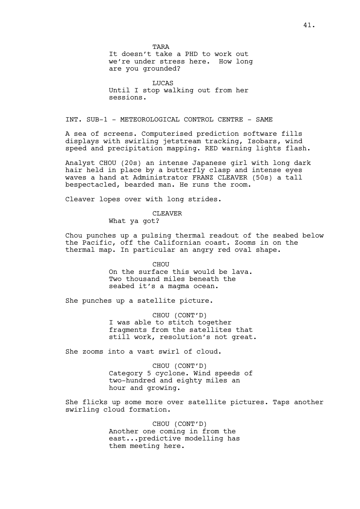TARA It doesn't take a PHD to work out we're under stress here. How long are you grounded?

LUCAS Until I stop walking out from her sessions.

INT. SUB-1 - METEOROLOGICAL CONTROL CENTRE - SAME

A sea of screens. Computerised prediction software fills displays with swirling jetstream tracking, Isobars, wind speed and precipitation mapping. RED warning lights flash.

Analyst CHOU (20s) an intense Japanese girl with long dark hair held in place by a butterfly clasp and intense eyes waves a hand at Administrator FRANZ CLEAVER (50s) a tall bespectacled, bearded man. He runs the room.

Cleaver lopes over with long strides.

## CLEAVER

What ya got?

Chou punches up a pulsing thermal readout of the seabed below the Pacific, off the Californian coast. Zooms in on the thermal map. In particular an angry red oval shape.

> CHOU On the surface this would be lava. Two thousand miles beneath the seabed it's a magma ocean.

She punches up a satellite picture.

CHOU (CONT'D) I was able to stitch together fragments from the satellites that still work, resolution's not great.

She zooms into a vast swirl of cloud.

CHOU (CONT'D) Category 5 cyclone. Wind speeds of two-hundred and eighty miles an hour and growing.

She flicks up some more over satellite pictures. Taps another swirling cloud formation.

> CHOU (CONT'D) Another one coming in from the east...predictive modelling has them meeting here.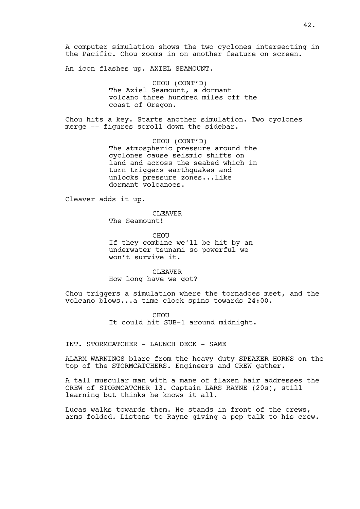A computer simulation shows the two cyclones intersecting in the Pacific. Chou zooms in on another feature on screen.

An icon flashes up. AXIEL SEAMOUNT.

CHOU (CONT'D) The Axiel Seamount, a dormant volcano three hundred miles off the coast of Oregon.

Chou hits a key. Starts another simulation. Two cyclones merge -- figures scroll down the sidebar.

> CHOU (CONT'D) The atmospheric pressure around the cyclones cause seismic shifts on land and across the seabed which in turn triggers earthquakes and unlocks pressure zones...like dormant volcanoes.

Cleaver adds it up.

CLEAVER The Seamount!

CHOU If they combine we'll be hit by an underwater tsunami so powerful we won't survive it.

CLEAVER How long have we got?

Chou triggers a simulation where the tornadoes meet, and the volcano blows...a time clock spins towards 24:00.

> CHOU It could hit SUB-1 around midnight.

INT. STORMCATCHER - LAUNCH DECK - SAME

ALARM WARNINGS blare from the heavy duty SPEAKER HORNS on the top of the STORMCATCHERS. Engineers and CREW gather.

A tall muscular man with a mane of flaxen hair addresses the CREW of STORMCATCHER 13. Captain LARS RAYNE (20s), still learning but thinks he knows it all.

Lucas walks towards them. He stands in front of the crews, arms folded. Listens to Rayne giving a pep talk to his crew.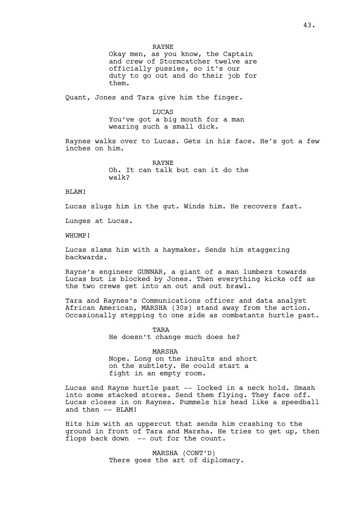RAYNE Okay men, as you know, the Captain and crew of Stormcatcher twelve are officially pussies, so it's our duty to go out and do their job for them.

Quant, Jones and Tara give him the finger.

LUCAS You've got a big mouth for a man wearing such a small dick.

Raynes walks over to Lucas. Gets in his face. He's got a few inches on him.

> RAYNE Oh. It can talk but can it do the walk?

BLAM!

Lucas slugs him in the gut. Winds him. He recovers fast.

Lunges at Lucas.

WHUMP!

Lucas slams him with a haymaker. Sends him staggering backwards.

Rayne's engineer GUNNAR, a giant of a man lumbers towards Lucas but is blocked by Jones. Then everything kicks off as the two crews get into an out and out brawl.

Tara and Raynes's Communications officer and data analyst African American, MARSHA (30s) stand away from the action. Occasionally stepping to one side as combatants hurtle past.

> TARA He doesn't change much does he?

MARSHA Nope. Long on the insults and short on the subtlety. He could start a fight in an empty room.

Lucas and Rayne hurtle past -- locked in a neck hold. Smash into some stacked stores. Send them flying. They face off. Lucas closes in on Raynes. Pummels his head like a speedball and then  $--$  BLAM!

Hits him with an uppercut that sends him crashing to the ground in front of Tara and Marsha. He tries to get up, then flops back down -- out for the count.

> MARSHA (CONT'D) There goes the art of diplomacy.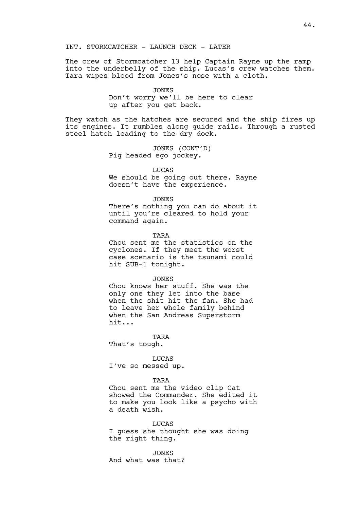## INT. STORMCATCHER - LAUNCH DECK - LATER

The crew of Stormcatcher 13 help Captain Rayne up the ramp into the underbelly of the ship. Lucas's crew watches them. Tara wipes blood from Jones's nose with a cloth.

## JONES

Don't worry we'll be here to clear up after you get back.

They watch as the hatches are secured and the ship fires up its engines. It rumbles along guide rails. Through a rusted steel hatch leading to the dry dock.

> JONES (CONT'D) Pig headed ego jockey.

### **LUCAS**

We should be going out there. Rayne doesn't have the experience.

### JONES

There's nothing you can do about it until you're cleared to hold your command again.

#### TARA

Chou sent me the statistics on the cyclones. If they meet the worst case scenario is the tsunami could hit SUB-1 tonight.

### JONES

Chou knows her stuff. She was the only one they let into the base when the shit hit the fan. She had to leave her whole family behind when the San Andreas Superstorm hit...

TARA

That's tough.

LUCAS I've so messed up.

## TARA

Chou sent me the video clip Cat showed the Commander. She edited it to make you look like a psycho with a death wish.

**LUCAS** I guess she thought she was doing the right thing.

JONES And what was that?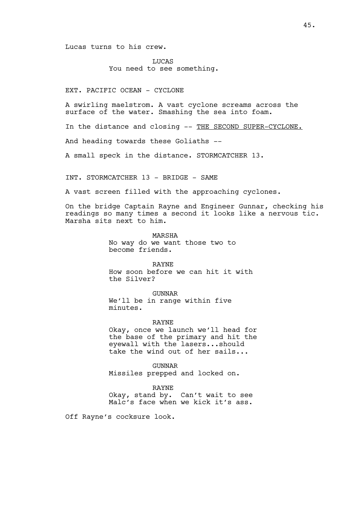Lucas turns to his crew.

LUCAS You need to see something.

EXT. PACIFIC OCEAN - CYCLONE

A swirling maelstrom. A vast cyclone screams across the surface of the water. Smashing the sea into foam.

In the distance and closing -- THE SECOND SUPER-CYCLONE.

And heading towards these Goliaths --

A small speck in the distance. STORMCATCHER 13.

INT. STORMCATCHER 13 - BRIDGE - SAME

A vast screen filled with the approaching cyclones.

On the bridge Captain Rayne and Engineer Gunnar, checking his readings so many times a second it looks like a nervous tic. Marsha sits next to him.

> MARSHA No way do we want those two to become friends.

> > RAYNE

How soon before we can hit it with the Silver?

GUNNAR

We'll be in range within five minutes.

RAYNE

Okay, once we launch we'll head for the base of the primary and hit the eyewall with the lasers...should take the wind out of her sails...

GUNNAR Missiles prepped and locked on.

RAYNE

Okay, stand by. Can't wait to see Malc's face when we kick it's ass.

Off Rayne's cocksure look.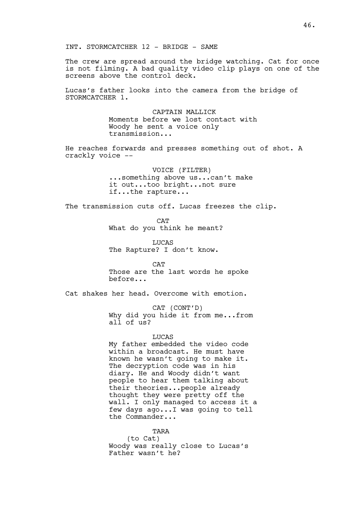The crew are spread around the bridge watching. Cat for once is not filming. A bad quality video clip plays on one of the screens above the control deck.

Lucas's father looks into the camera from the bridge of STORMCATCHER 1.

> CAPTAIN MALLICK Moments before we lost contact with Woody he sent a voice only transmission...

He reaches forwards and presses something out of shot. A crackly voice --

> VOICE (FILTER) ...something above us...can't make it out...too bright...not sure if...the rapture...

The transmission cuts off. Lucas freezes the clip.

**CAT** What do you think he meant?

LUCAS The Rapture? I don't know.

**CAT** 

Those are the last words he spoke before...

Cat shakes her head. Overcome with emotion.

CAT (CONT'D)

Why did you hide it from me...from all of us?

LUCAS

My father embedded the video code within a broadcast. He must have known he wasn't going to make it. The decryption code was in his diary. He and Woody didn't want people to hear them talking about their theories...people already thought they were pretty off the wall. I only managed to access it a few days ago...I was going to tell the Commander...

**TARA** (to Cat) Woody was really close to Lucas's Father wasn't he?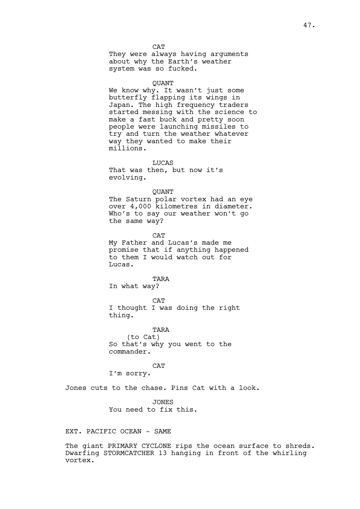**CAT** They were always having arguments about why the Earth's weather system was so fucked.

## QUANT

We know why. It wasn't just some butterfly flapping its wings in Japan. The high frequency traders started messing with the science to make a fast buck and pretty soon people were launching missiles to try and turn the weather whatever way they wanted to make their millions.

LUCAS

That was then, but now it's evolving.

### **OUANT**

The Saturn polar vortex had an eye over 4,000 kilometres in diameter. Who's to say our weather won't go the same way?

CAT My Father and Lucas's made me promise that if anything happened to them I would watch out for Lucas.

# TARA

In what way?

**CAT** I thought I was doing the right thing.

TARA (to Cat) So that's why you went to the commander.

CAT

I'm sorry.

Jones cuts to the chase. Pins Cat with a look.

JONES You need to fix this.

EXT. PACIFIC OCEAN - SAME

The giant PRIMARY CYCLONE rips the ocean surface to shreds. Dwarfing STORMCATCHER 13 hanging in front of the whirling vortex.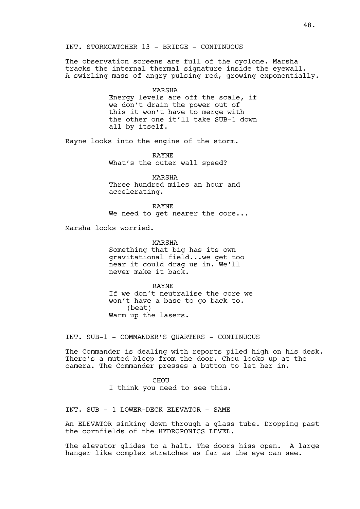# INT. STORMCATCHER 13 - BRIDGE - CONTINUOUS

The observation screens are full of the cyclone. Marsha tracks the internal thermal signature inside the eyewall. A swirling mass of angry pulsing red, growing exponentially.

> MARSHA Energy levels are off the scale, if we don't drain the power out of this it won't have to merge with the other one it'll take SUB-1 down all by itself.

Rayne looks into the engine of the storm.

RAYNE What's the outer wall speed?

MARSHA Three hundred miles an hour and accelerating.

RAYNE

We need to get nearer the core...

Marsha looks worried.

MARSHA

Something that big has its own gravitational field...we get too near it could drag us in. We'll never make it back.

RAYNE If we don't neutralise the core we won't have a base to go back to. (beat) Warm up the lasers.

INT. SUB-1 - COMMANDER'S QUARTERS - CONTINUOUS

The Commander is dealing with reports piled high on his desk. There's a muted bleep from the door. Chou looks up at the camera. The Commander presses a button to let her in.

> **CHOU** I think you need to see this.

INT. SUB - 1 LOWER-DECK ELEVATOR - SAME

An ELEVATOR sinking down through a glass tube. Dropping past the cornfields of the HYDROPONICS LEVEL.

The elevator glides to a halt. The doors hiss open. A large hanger like complex stretches as far as the eye can see.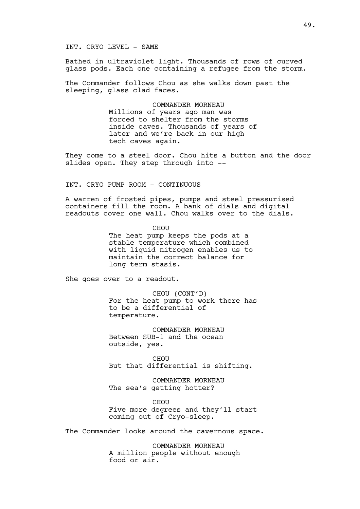## INT. CRYO LEVEL - SAME

Bathed in ultraviolet light. Thousands of rows of curved glass pods. Each one containing a refugee from the storm.

The Commander follows Chou as she walks down past the sleeping, glass clad faces.

> COMMANDER MORNEAU Millions of years ago man was forced to shelter from the storms inside caves. Thousands of years of later and we're back in our high tech caves again.

They come to a steel door. Chou hits a button and the door slides open. They step through into --

INT. CRYO PUMP ROOM - CONTINUOUS

A warren of frosted pipes, pumps and steel pressurised containers fill the room. A bank of dials and digital readouts cover one wall. Chou walks over to the dials.

> CHOU The heat pump keeps the pods at a stable temperature which combined with liquid nitrogen enables us to maintain the correct balance for long term stasis.

She goes over to a readout.

CHOU (CONT'D) For the heat pump to work there has to be a differential of temperature.

COMMANDER MORNEAU Between SUB-1 and the ocean outside, yes.

CHOU But that differential is shifting.

COMMANDER MORNEAU The sea's getting hotter?

**CHOU** Five more degrees and they'll start coming out of Cryo-sleep.

The Commander looks around the cavernous space.

COMMANDER MORNEAU A million people without enough food or air.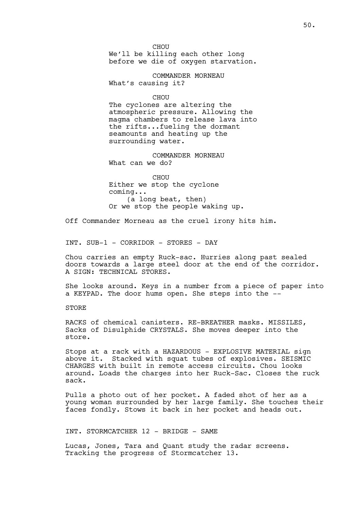CHOU We'll be killing each other long before we die of oxygen starvation.

COMMANDER MORNEAU What's causing it?

**CHOU** 

The cyclones are altering the atmospheric pressure. Allowing the magma chambers to release lava into the rifts...fueling the dormant seamounts and heating up the surrounding water.

COMMANDER MORNEAU What can we do?

CHOU Either we stop the cyclone coming... (a long beat, then) Or we stop the people waking up.

Off Commander Morneau as the cruel irony hits him.

INT. SUB-1 - CORRIDOR - STORES - DAY

Chou carries an empty Ruck-sac. Hurries along past sealed doors towards a large steel door at the end of the corridor. A SIGN: TECHNICAL STORES.

She looks around. Keys in a number from a piece of paper into a KEYPAD. The door hums open. She steps into the --

STORE

RACKS of chemical canisters. RE-BREATHER masks. MISSILES, Sacks of Disulphide CRYSTALS. She moves deeper into the store.

Stops at a rack with a HAZARDOUS - EXPLOSIVE MATERIAL sign above it. Stacked with squat tubes of explosives. SEISMIC CHARGES with built in remote access circuits. Chou looks around. Loads the charges into her Ruck-Sac. Closes the ruck sack.

Pulls a photo out of her pocket. A faded shot of her as a young woman surrounded by her large family. She touches their faces fondly. Stows it back in her pocket and heads out.

INT. STORMCATCHER 12 - BRIDGE - SAME

Lucas, Jones, Tara and Quant study the radar screens. Tracking the progress of Stormcatcher 13.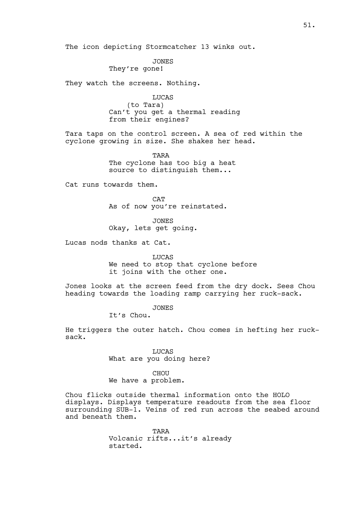The icon depicting Stormcatcher 13 winks out.

JONES

They're gone!

They watch the screens. Nothing.

LUCAS (to Tara) Can't you get a thermal reading from their engines?

Tara taps on the control screen. A sea of red within the cyclone growing in size. She shakes her head.

> TARA The cyclone has too big a heat source to distinguish them...

Cat runs towards them.

**CAT** As of now you're reinstated.

JONES

Okay, lets get going.

Lucas nods thanks at Cat.

LUCAS We need to stop that cyclone before it joins with the other one.

Jones looks at the screen feed from the dry dock. Sees Chou heading towards the loading ramp carrying her ruck-sack.

JONES

It's Chou.

He triggers the outer hatch. Chou comes in hefting her rucksack.

> LUCAS What are you doing here?

CHOU We have a problem.

Chou flicks outside thermal information onto the HOLO displays. Displays temperature readouts from the sea floor surrounding SUB-1. Veins of red run across the seabed around and beneath them.

> TARA Volcanic rifts...it's already started.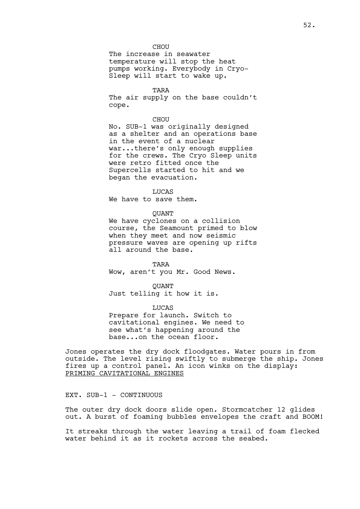CHOU The increase in seawater temperature will stop the heat pumps working. Everybody in Cryo-Sleep will start to wake up.

TARA

The air supply on the base couldn't cope.

## CHOU

No. SUB-1 was originally designed as a shelter and an operations base in the event of a nuclear war...there's only enough supplies for the crews. The Cryo Sleep units were retro fitted once the Supercells started to hit and we began the evacuation.

LUCAS

We have to save them.

QUANT

We have cyclones on a collision course, the Seamount primed to blow when they meet and now seismic pressure waves are opening up rifts all around the base.

TARA Wow, aren't you Mr. Good News.

**OUANT** Just telling it how it is.

LUCAS

Prepare for launch. Switch to cavitational engines. We need to see what's happening around the base...on the ocean floor.

Jones operates the dry dock floodgates. Water pours in from outside. The level rising swiftly to submerge the ship. Jones fires up a control panel. An icon winks on the display: PRIMING CAVITATIONAL ENGINES

EXT. SUB-1 - CONTINUOUS

The outer dry dock doors slide open. Stormcatcher 12 glides out. A burst of foaming bubbles envelopes the craft and BOOM!

It streaks through the water leaving a trail of foam flecked water behind it as it rockets across the seabed.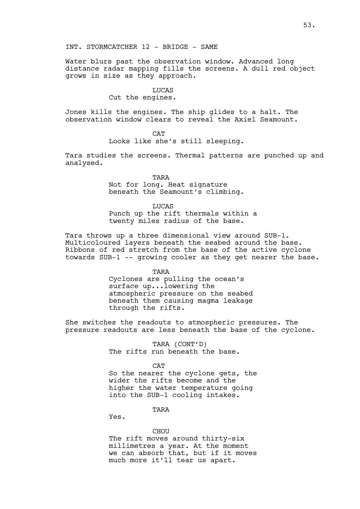Water blurs past the observation window. Advanced long distance radar mapping fills the screens. A dull red object grows in size as they approach.

## LUCAS

Cut the engines.

Jones kills the engines. The ship glides to a halt. The observation window clears to reveal the Axiel Seamount.

CAT

Looks like she's still sleeping.

Tara studies the screens. Thermal patterns are punched up and analysed.

> TARA Not for long. Heat signature beneath the Seamount's climbing.

LUCAS Punch up the rift thermals within a twenty miles radius of the base.

Tara throws up a three dimensional view around SUB-1. Multicoloured layers beneath the seabed around the base. Ribbons of red stretch from the base of the active cyclone towards SUB-1 -- growing cooler as they get nearer the base.

TARA

Cyclones are pulling the ocean's surface up...lowering the atmospheric pressure on the seabed beneath them causing magma leakage through the rifts.

She switches the readouts to atmospheric pressures. The pressure readouts are less beneath the base of the cyclone.

> TARA (CONT'D) The rifts run beneath the base.

> > CAT

So the nearer the cyclone gets, the wider the rifts become and the higher the water temperature going into the SUB-1 cooling intakes.

**TARA** 

Yes.

#### **CHOU**

The rift moves around thirty-six millimetres a year. At the moment we can absorb that, but if it moves much more it'll tear us apart.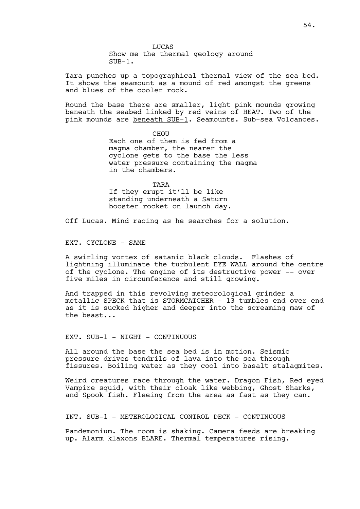Tara punches up a topographical thermal view of the sea bed. It shows the seamount as a mound of red amongst the greens and blues of the cooler rock.

Round the base there are smaller, light pink mounds growing beneath the seabed linked by red veins of HEAT. Two of the pink mounds are beneath SUB-1. Seamounts. Sub-sea Volcanoes.

> CHOU Each one of them is fed from a magma chamber, the nearer the cyclone gets to the base the less water pressure containing the magma in the chambers.

TARA If they erupt it'll be like standing underneath a Saturn booster rocket on launch day.

Off Lucas. Mind racing as he searches for a solution.

EXT. CYCLONE - SAME

A swirling vortex of satanic black clouds. Flashes of lightning illuminate the turbulent EYE WALL around the centre of the cyclone. The engine of its destructive power -- over five miles in circumference and still growing.

And trapped in this revolving meteorological grinder a metallic SPECK that is STORMCATCHER - 13 tumbles end over end as it is sucked higher and deeper into the screaming maw of the beast...

EXT. SUB-1 - NIGHT - CONTINUOUS

All around the base the sea bed is in motion. Seismic pressure drives tendrils of lava into the sea through fissures. Boiling water as they cool into basalt stalagmites.

Weird creatures race through the water. Dragon Fish, Red eyed Vampire squid, with their cloak like webbing, Ghost Sharks, and Spook fish. Fleeing from the area as fast as they can.

INT. SUB-1 - METEROLOGICAL CONTROL DECK - CONTINUOUS

Pandemonium. The room is shaking. Camera feeds are breaking up. Alarm klaxons BLARE. Thermal temperatures rising.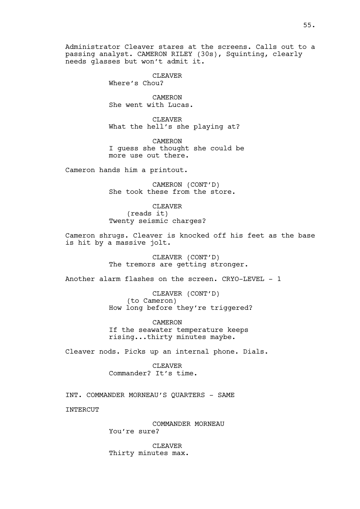Administrator Cleaver stares at the screens. Calls out to a passing analyst. CAMERON RILEY (30s), Squinting, clearly needs glasses but won't admit it.

> CLEAVER Where's Chou?

**CAMERON** She went with Lucas.

CLEAVER What the hell's she playing at?

CAMERON I guess she thought she could be more use out there.

Cameron hands him a printout.

CAMERON (CONT'D) She took these from the store.

CLEAVER (reads it) Twenty seismic charges?

Cameron shrugs. Cleaver is knocked off his feet as the base is hit by a massive jolt.

> CLEAVER (CONT'D) The tremors are getting stronger.

Another alarm flashes on the screen. CRYO-LEVEL - 1

CLEAVER (CONT'D) (to Cameron) How long before they're triggered?

CAMERON If the seawater temperature keeps rising...thirty minutes maybe.

Cleaver nods. Picks up an internal phone. Dials.

CLEAVER Commander? It's time.

INT. COMMANDER MORNEAU'S QUARTERS - SAME

**INTERCUT** 

COMMANDER MORNEAU You're sure?

CLEAVER Thirty minutes max.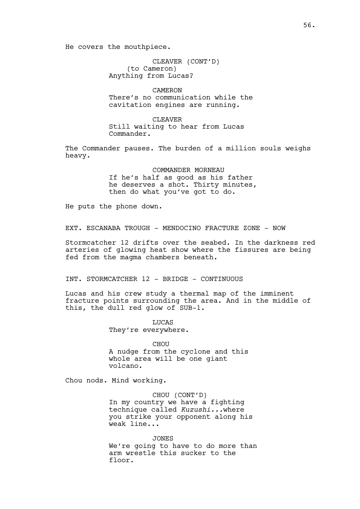He covers the mouthpiece.

CLEAVER (CONT'D) (to Cameron) Anything from Lucas?

CAMERON There's no communication while the cavitation engines are running.

CLEAVER Still waiting to hear from Lucas Commander.

The Commander pauses. The burden of a million souls weighs heavy.

> COMMANDER MORNEAU If he's half as good as his father he deserves a shot. Thirty minutes, then do what you've got to do.

He puts the phone down.

EXT. ESCANABA TROUGH - MENDOCINO FRACTURE ZONE - NOW

Stormcatcher 12 drifts over the seabed. In the darkness red arteries of glowing heat show where the fissures are being fed from the magma chambers beneath.

INT. STORMCATCHER 12 - BRIDGE - CONTINUOUS

Lucas and his crew study a thermal map of the imminent fracture points surrounding the area. And in the middle of this, the dull red glow of SUB-1.

> LUCAS They're everywhere.

CHOU A nudge from the cyclone and this whole area will be one giant volcano.

Chou nods. Mind working.

CHOU (CONT'D) In my country we have a fighting technique called *Kuzushi...*where you strike your opponent along his weak line...

JONES We're going to have to do more than arm wrestle this sucker to the floor.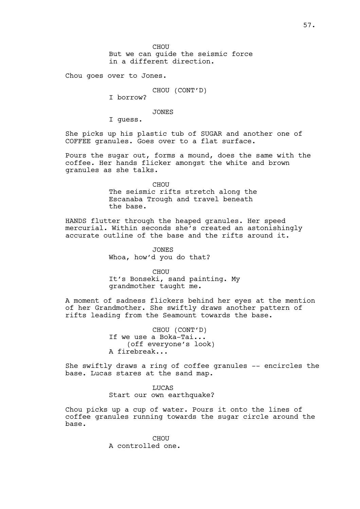CHOU But we can guide the seismic force in a different direction.

Chou goes over to Jones.

CHOU (CONT'D)

I borrow?

JONES

I guess.

She picks up his plastic tub of SUGAR and another one of COFFEE granules. Goes over to a flat surface.

Pours the sugar out, forms a mound, does the same with the coffee. Her hands flicker amongst the white and brown granules as she talks.

> CHOU The seismic rifts stretch along the Escanaba Trough and travel beneath the base.

HANDS flutter through the heaped granules. Her speed mercurial. Within seconds she's created an astonishingly accurate outline of the base and the rifts around it.

> **JONES** Whoa, how'd you do that?

CHOU It's Bonseki, sand painting. My grandmother taught me.

A moment of sadness flickers behind her eyes at the mention of her Grandmother. She swiftly draws another pattern of rifts leading from the Seamount towards the base.

> CHOU (CONT'D) If we use a Boka-Tai... (off everyone's look) A firebreak...

She swiftly draws a ring of coffee granules -- encircles the base. Lucas stares at the sand map.

> **LUCAS** Start our own earthquake?

Chou picks up a cup of water. Pours it onto the lines of coffee granules running towards the sugar circle around the base.

> CHOU A controlled one.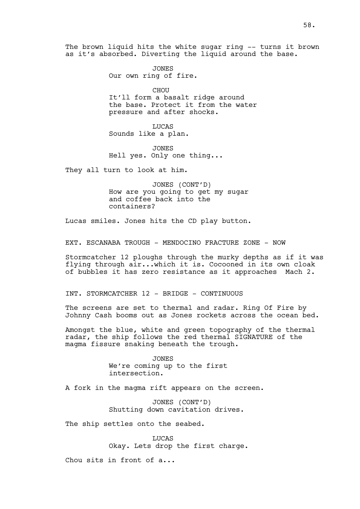The brown liquid hits the white sugar ring -- turns it brown as it's absorbed. Diverting the liquid around the base.

> JONES Our own ring of fire.

CHOU It'll form a basalt ridge around the base. Protect it from the water pressure and after shocks.

LUCAS Sounds like a plan.

JONES Hell yes. Only one thing...

They all turn to look at him.

JONES (CONT'D) How are you going to get my sugar and coffee back into the containers?

Lucas smiles. Jones hits the CD play button.

EXT. ESCANABA TROUGH - MENDOCINO FRACTURE ZONE - NOW

Stormcatcher 12 ploughs through the murky depths as if it was flying through air...which it is. Cocooned in its own cloak of bubbles it has zero resistance as it approaches Mach 2.

INT. STORMCATCHER 12 - BRIDGE - CONTINUOUS

The screens are set to thermal and radar. Ring Of Fire by Johnny Cash booms out as Jones rockets across the ocean bed.

Amongst the blue, white and green topography of the thermal radar, the ship follows the red thermal SIGNATURE of the magma fissure snaking beneath the trough.

> JONES We're coming up to the first intersection.

A fork in the magma rift appears on the screen.

JONES (CONT'D) Shutting down cavitation drives.

The ship settles onto the seabed.

LUCAS Okay. Lets drop the first charge.

Chou sits in front of a...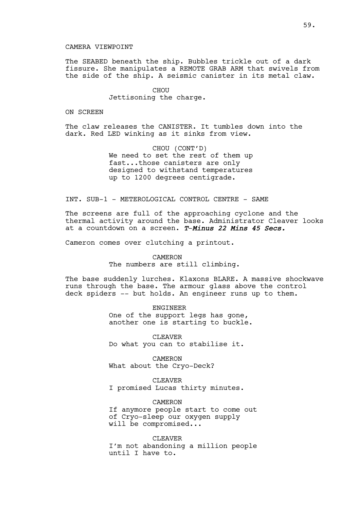## CAMERA VIEWPOINT

The SEABED beneath the ship. Bubbles trickle out of a dark fissure. She manipulates a REMOTE GRAB ARM that swivels from the side of the ship. A seismic canister in its metal claw.

> **CHOU** Jettisoning the charge.

## ON SCREEN

The claw releases the CANISTER. It tumbles down into the dark. Red LED winking as it sinks from view.

> CHOU (CONT'D) We need to set the rest of them up fast...those canisters are only designed to withstand temperatures up to 1200 degrees centigrade.

# INT. SUB-1 - METEROLOGICAL CONTROL CENTRE - SAME

The screens are full of the approaching cyclone and the thermal activity around the base. Administrator Cleaver looks at a countdown on a screen. *T*-*Minus 22 Mins 45 Secs.*

Cameron comes over clutching a printout.

#### CAMERON

The numbers are still climbing.

The base suddenly lurches. Klaxons BLARE. A massive shockwave runs through the base. The armour glass above the control deck spiders -- but holds. An engineer runs up to them.

> ENGINEER One of the support legs has gone, another one is starting to buckle.

CLEAVER Do what you can to stabilise it.

CAMERON What about the Cryo-Deck?

## CLEAVER

I promised Lucas thirty minutes.

# CAMERON

If anymore people start to come out of Cryo-sleep our oxygen supply will be compromised...

CLEAVER I'm not abandoning a million people until I have to.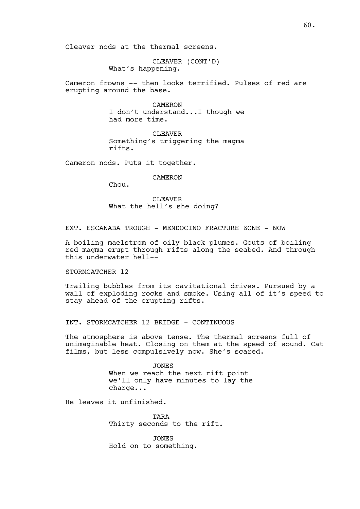Cleaver nods at the thermal screens.

CLEAVER (CONT'D) What's happening.

Cameron frowns -- then looks terrified. Pulses of red are erupting around the base.

> CAMERON I don't understand...I though we had more time.

> CLEAVER Something's triggering the magma rifts.

Cameron nods. Puts it together.

CAMERON

Chou.

CLEAVER What the hell's she doing?

EXT. ESCANABA TROUGH - MENDOCINO FRACTURE ZONE - NOW

A boiling maelstrom of oily black plumes. Gouts of boiling red magma erupt through rifts along the seabed. And through this underwater hell--

### STORMCATCHER 12

Trailing bubbles from its cavitational drives. Pursued by a wall of exploding rocks and smoke. Using all of it's speed to stay ahead of the erupting rifts.

INT. STORMCATCHER 12 BRIDGE - CONTINUOUS

The atmosphere is above tense. The thermal screens full of unimaginable heat. Closing on them at the speed of sound. Cat films, but less compulsively now. She's scared.

> JONES When we reach the next rift point we'll only have minutes to lay the charge...

He leaves it unfinished.

**TARA** Thirty seconds to the rift.

JONES Hold on to something.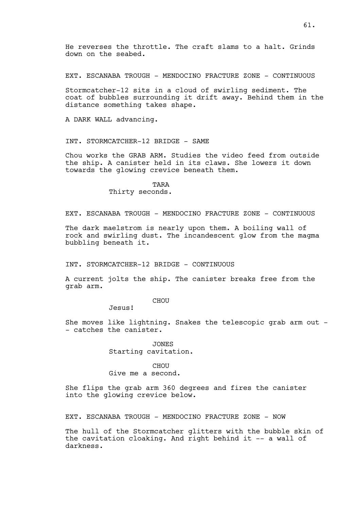He reverses the throttle. The craft slams to a halt. Grinds down on the seabed.

EXT. ESCANABA TROUGH - MENDOCINO FRACTURE ZONE - CONTINUOUS

Stormcatcher-12 sits in a cloud of swirling sediment. The coat of bubbles surrounding it drift away. Behind them in the distance something takes shape.

A DARK WALL advancing.

INT. STORMCATCHER-12 BRIDGE - SAME

Chou works the GRAB ARM. Studies the video feed from outside the ship. A canister held in its claws. She lowers it down towards the glowing crevice beneath them.

> TARA Thirty seconds.

EXT. ESCANABA TROUGH - MENDOCINO FRACTURE ZONE - CONTINUOUS

The dark maelstrom is nearly upon them. A boiling wall of rock and swirling dust. The incandescent glow from the magma bubbling beneath it.

INT. STORMCATCHER-12 BRIDGE - CONTINUOUS

A current jolts the ship. The canister breaks free from the grab arm.

# CHOU

Jesus!

She moves like lightning. Snakes the telescopic grab arm out - - catches the canister.

> JONES Starting cavitation.

## CHOU Give me a second.

She flips the grab arm 360 degrees and fires the canister into the glowing crevice below.

EXT. ESCANABA TROUGH - MENDOCINO FRACTURE ZONE - NOW

The hull of the Stormcatcher glitters with the bubble skin of the cavitation cloaking. And right behind it -- a wall of darkness.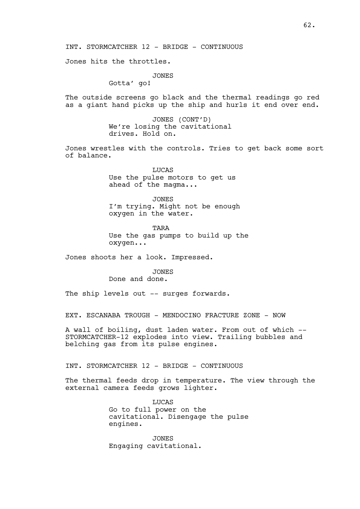Jones hits the throttles.

JONES

Gotta' go!

The outside screens go black and the thermal readings go red as a giant hand picks up the ship and hurls it end over end.

> JONES (CONT'D) We're losing the cavitational drives. Hold on.

Jones wrestles with the controls. Tries to get back some sort of balance.

> **LUCAS** Use the pulse motors to get us ahead of the magma...

JONES I'm trying. Might not be enough oxygen in the water.

TARA Use the gas pumps to build up the oxygen...

Jones shoots her a look. Impressed.

# JONES

Done and done.

The ship levels out -- surges forwards.

EXT. ESCANABA TROUGH - MENDOCINO FRACTURE ZONE - NOW

A wall of boiling, dust laden water. From out of which -- STORMCATCHER-12 explodes into view. Trailing bubbles and belching gas from its pulse engines.

INT. STORMCATCHER 12 - BRIDGE - CONTINUOUS

The thermal feeds drop in temperature. The view through the external camera feeds grows lighter.

> **LUCAS** Go to full power on the cavitational. Disengage the pulse engines.

JONES Engaging cavitational.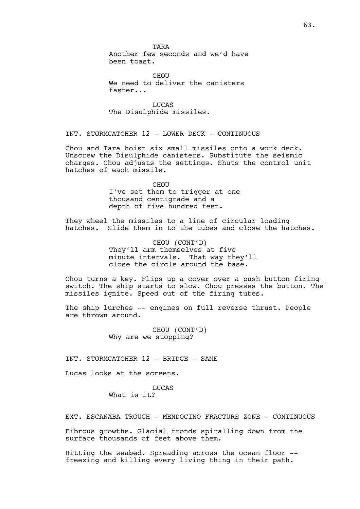**TARA** Another few seconds and we'd have been toast.

CHOU We need to deliver the canisters faster...

LUCAS The Disulphide missiles.

INT. STORMCATCHER 12 - LOWER DECK - CONTINUOUS

Chou and Tara hoist six small missiles onto a work deck. Unscrew the Disulphide canisters. Substitute the seismic charges. Chou adjusts the settings. Shuts the control unit hatches of each missile.

> CHOU I've set them to trigger at one thousand centigrade and a depth of five hundred feet.

They wheel the missiles to a line of circular loading hatches. Slide them in to the tubes and close the hatches.

> CHOU (CONT'D) They'll arm themselves at five minute intervals. That way they'll close the circle around the base.

Chou turns a key. Flips up a cover over a push button firing switch. The ship starts to slow. Chou presses the button. The missiles ignite. Speed out of the firing tubes.

The ship lurches -- engines on full reverse thrust. People are thrown around.

> CHOU (CONT'D) Why are we stopping?

INT. STORMCATCHER 12 - BRIDGE - SAME

Lucas looks at the screens.

**LUCAS** What is it?

EXT. ESCANABA TROUGH - MENDOCINO FRACTURE ZONE - CONTINUOUS

Fibrous growths. Glacial fronds spiralling down from the surface thousands of feet above them.

Hitting the seabed. Spreading across the ocean floor - freezing and killing every living thing in their path.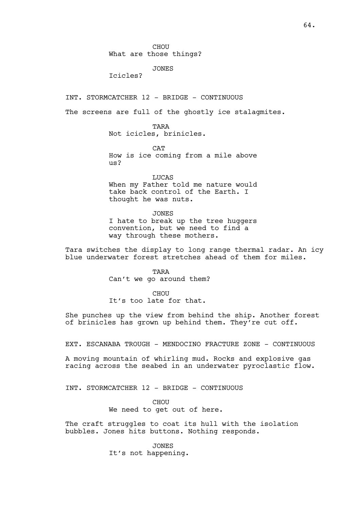## What are those things?

## JONES

Icicles?

INT. STORMCATCHER 12 - BRIDGE - CONTINUOUS

The screens are full of the ghostly ice stalagmites.

TARA Not icicles, brinicles.

 $CAP$ How is ice coming from a mile above us?

LUCAS When my Father told me nature would take back control of the Earth. I thought he was nuts.

JONES I hate to break up the tree huggers convention, but we need to find a way through these mothers.

Tara switches the display to long range thermal radar. An icy blue underwater forest stretches ahead of them for miles.

> TARA Can't we go around them?

> > CHOU

It's too late for that.

She punches up the view from behind the ship. Another forest of brinicles has grown up behind them. They're cut off.

EXT. ESCANABA TROUGH - MENDOCINO FRACTURE ZONE - CONTINUOUS

A moving mountain of whirling mud. Rocks and explosive gas racing across the seabed in an underwater pyroclastic flow.

INT. STORMCATCHER 12 - BRIDGE - CONTINUOUS

**CHOU** 

We need to get out of here.

The craft struggles to coat its hull with the isolation bubbles. Jones hits buttons. Nothing responds.

> JONES It's not happening.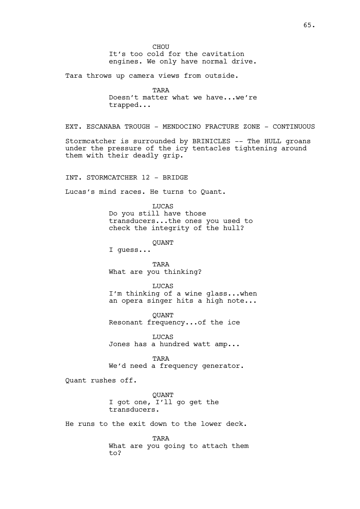CHOU It's too cold for the cavitation engines. We only have normal drive.

Tara throws up camera views from outside.

TARA Doesn't matter what we have...we're trapped...

EXT. ESCANABA TROUGH - MENDOCINO FRACTURE ZONE - CONTINUOUS

Stormcatcher is surrounded by BRINICLES -- The HULL groans under the pressure of the icy tentacles tightening around them with their deadly grip.

INT. STORMCATCHER 12 - BRIDGE

Lucas's mind races. He turns to Quant.

LUCAS Do you still have those transducers...the ones you used to check the integrity of the hull?

**OUANT** 

I guess...

TARA What are you thinking?

LUCAS

I'm thinking of a wine glass...when an opera singer hits a high note...

QUANT Resonant frequency...of the ice

LUCAS Jones has a hundred watt amp...

TARA We'd need a frequency generator.

Quant rushes off.

**OUANT** I got one, I'll go get the transducers.

He runs to the exit down to the lower deck.

TARA What are you going to attach them to?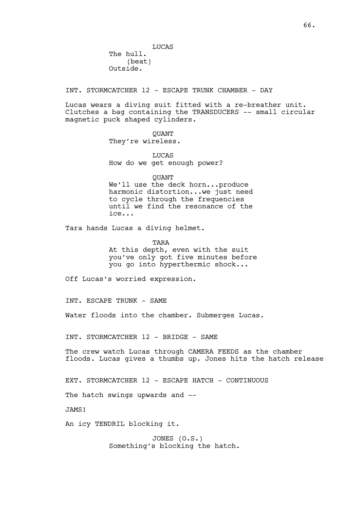LUCAS The hull. (beat) Outside.

INT. STORMCATCHER 12 - ESCAPE TRUNK CHAMBER - DAY

Lucas wears a diving suit fitted with a re-breather unit. Clutches a bag containing the TRANSDUCERS -- small circular magnetic puck shaped cylinders.

> **OUANT** They're wireless.

LUCAS How do we get enough power?

**OUANT** 

We'll use the deck horn...produce harmonic distortion...we just need to cycle through the frequencies until we find the resonance of the ice...

Tara hands Lucas a diving helmet.

TARA

At this depth, even with the suit you've only got five minutes before you go into hyperthermic shock...

Off Lucas's worried expression.

INT. ESCAPE TRUNK - SAME

Water floods into the chamber. Submerges Lucas.

INT. STORMCATCHER 12 - BRIDGE - SAME

The crew watch Lucas through CAMERA FEEDS as the chamber floods. Lucas gives a thumbs up. Jones hits the hatch release

EXT. STORMCATCHER 12 - ESCAPE HATCH - CONTINUOUS

The hatch swings upwards and  $-$ 

JAMS!

An icy TENDRIL blocking it.

JONES (O.S.) Something's blocking the hatch.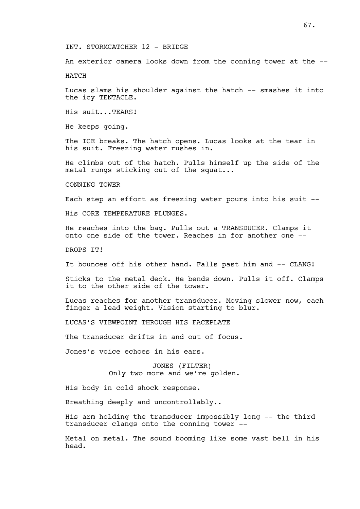# INT. STORMCATCHER 12 - BRIDGE

An exterior camera looks down from the conning tower at the --

HATCH

Lucas slams his shoulder against the hatch -- smashes it into the icy TENTACLE.

His suit...TEARS!

He keeps going.

The ICE breaks. The hatch opens. Lucas looks at the tear in his suit. Freezing water rushes in.

He climbs out of the hatch. Pulls himself up the side of the metal rungs sticking out of the squat...

CONNING TOWER

Each step an effort as freezing water pours into his suit --

His CORE TEMPERATURE PLUNGES.

He reaches into the bag. Pulls out a TRANSDUCER. Clamps it onto one side of the tower. Reaches in for another one --

DROPS **TT!** 

It bounces off his other hand. Falls past him and -- CLANG!

Sticks to the metal deck. He bends down. Pulls it off. Clamps it to the other side of the tower.

Lucas reaches for another transducer. Moving slower now, each finger a lead weight. Vision starting to blur.

LUCAS'S VIEWPOINT THROUGH HIS FACEPLATE

The transducer drifts in and out of focus.

Jones's voice echoes in his ears.

JONES (FILTER) Only two more and we're golden.

His body in cold shock response.

Breathing deeply and uncontrollably..

His arm holding the transducer impossibly long -- the third transducer clangs onto the conning tower --

Metal on metal. The sound booming like some vast bell in his head.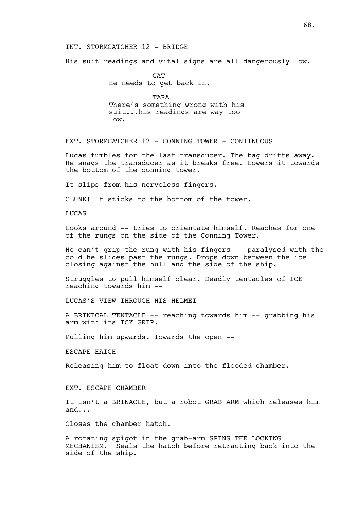## INT. STORMCATCHER 12 - BRIDGE

His suit readings and vital signs are all dangerously low.

**CAT** He needs to get back in.

TARA There's something wrong with his suit...his readings are way too low.

EXT. STORMCATCHER 12 - CONNING TOWER - CONTINUOUS

Lucas fumbles for the last transducer. The bag drifts away. He snags the transducer as it breaks free. Lowers it towards the bottom of the conning tower.

It slips from his nerveless fingers.

CLUNK! It sticks to the bottom of the tower.

LUCAS

Looks around -- tries to orientate himself. Reaches for one of the rungs on the side of the Conning Tower.

He can't grip the rung with his fingers -- paralysed with the cold he slides past the rungs. Drops down between the ice closing against the hull and the side of the ship.

Struggles to pull himself clear. Deadly tentacles of ICE reaching towards him --

LUCAS'S VIEW THROUGH HIS HELMET

A BRINICAL TENTACLE -- reaching towards him -- grabbing his arm with its ICY GRIP.

Pulling him upwards. Towards the open --

ESCAPE HATCH

Releasing him to float down into the flooded chamber.

EXT. ESCAPE CHAMBER

It isn't a BRINACLE, but a robot GRAB ARM which releases him and...

Closes the chamber hatch.

A rotating spigot in the grab-arm SPINS THE LOCKING MECHANISM. Seals the hatch before retracting back into the side of the ship.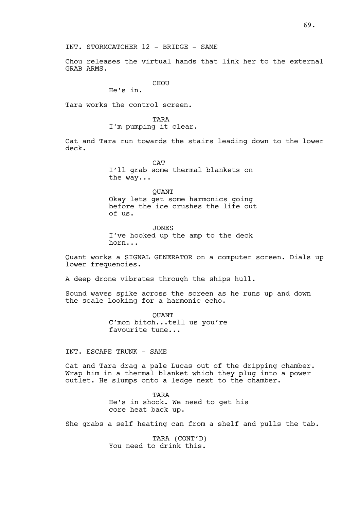Chou releases the virtual hands that link her to the external GRAB ARMS.

CHOU

He's in.

Tara works the control screen.

**TARA** 

I'm pumping it clear.

Cat and Tara run towards the stairs leading down to the lower deck.

> **CAT** I'll grab some thermal blankets on the way...

**OUANT** Okay lets get some harmonics going before the ice crushes the life out of us.

JONES I've hooked up the amp to the deck horn...

Quant works a SIGNAL GENERATOR on a computer screen. Dials up lower frequencies.

A deep drone vibrates through the ships hull.

Sound waves spike across the screen as he runs up and down the scale looking for a harmonic echo.

> QUANT C'mon bitch...tell us you're favourite tune...

INT. ESCAPE TRUNK - SAME

Cat and Tara drag a pale Lucas out of the dripping chamber. Wrap him in a thermal blanket which they plug into a power outlet. He slumps onto a ledge next to the chamber.

> TARA He's in shock. We need to get his core heat back up.

She grabs a self heating can from a shelf and pulls the tab.

TARA (CONT'D) You need to drink this.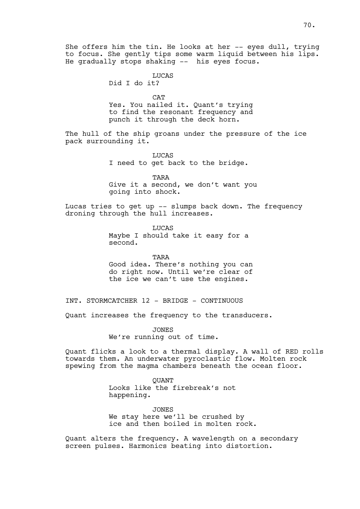She offers him the tin. He looks at her -- eyes dull, trying to focus. She gently tips some warm liquid between his lips. He gradually stops shaking -- his eyes focus.

LUCAS

Did I do it?

**CAT** 

Yes. You nailed it. Quant's trying to find the resonant frequency and punch it through the deck horn.

The hull of the ship groans under the pressure of the ice pack surrounding it.

> LUCAS I need to get back to the bridge.

TARA Give it a second, we don't want you going into shock.

Lucas tries to get up -- slumps back down. The frequency droning through the hull increases.

> LUCAS Maybe I should take it easy for a second.

TARA Good idea. There's nothing you can do right now. Until we're clear of the ice we can't use the engines.

INT. STORMCATCHER 12 - BRIDGE - CONTINUOUS

Quant increases the frequency to the transducers.

JONES We're running out of time.

Quant flicks a look to a thermal display. A wall of RED rolls towards them. An underwater pyroclastic flow. Molten rock spewing from the magma chambers beneath the ocean floor.

> **OUANT** Looks like the firebreak's not happening.

JONES We stay here we'll be crushed by ice and then boiled in molten rock.

Quant alters the frequency. A wavelength on a secondary screen pulses. Harmonics beating into distortion.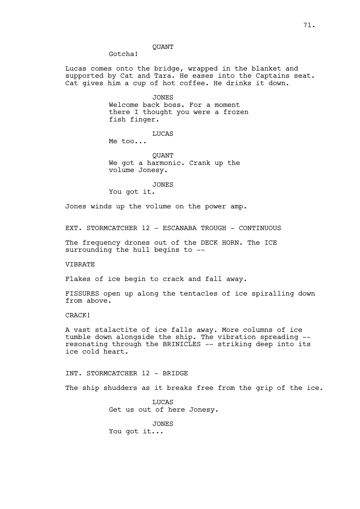# QUANT

Gotcha!

Lucas comes onto the bridge, wrapped in the blanket and supported by Cat and Tara. He eases into the Captains seat. Cat gives him a cup of hot coffee. He drinks it down.

> JONES Welcome back boss. For a moment there I thought you were a frozen fish finger.

> > LUCAS

Me too...

QUANT We got a harmonic. Crank up the volume Jonesy.

#### JONES

You got it.

Jones winds up the volume on the power amp.

EXT. STORMCATCHER 12 - ESCANABA TROUGH - CONTINUOUS

The frequency drones out of the DECK HORN. The ICE surrounding the hull begins to --

VIBRATE

Flakes of ice begin to crack and fall away.

FISSURES open up along the tentacles of ice spiralling down from above.

CRACK!

A vast stalactite of ice falls away. More columns of ice tumble down alongside the ship. The vibration spreading - resonating through the BRINICLES -- striking deep into its ice cold heart.

INT. STORMCATCHER 12 - BRIDGE

The ship shudders as it breaks free from the grip of the ice.

**LUCAS** Get us out of here Jonesy.

**JONES** You got it...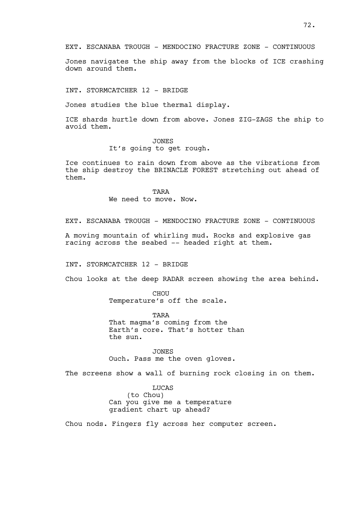EXT. ESCANABA TROUGH - MENDOCINO FRACTURE ZONE - CONTINUOUS

Jones navigates the ship away from the blocks of ICE crashing down around them.

INT. STORMCATCHER 12 - BRIDGE

Jones studies the blue thermal display.

ICE shards hurtle down from above. Jones ZIG-ZAGS the ship to avoid them.

> JONES It's going to get rough.

Ice continues to rain down from above as the vibrations from the ship destroy the BRINACLE FOREST stretching out ahead of them.

> TARA We need to move. Now.

EXT. ESCANABA TROUGH - MENDOCINO FRACTURE ZONE - CONTINUOUS

A moving mountain of whirling mud. Rocks and explosive gas racing across the seabed -- headed right at them.

INT. STORMCATCHER 12 - BRIDGE

Chou looks at the deep RADAR screen showing the area behind.

CHOU Temperature's off the scale.

TARA That magma's coming from the Earth's core. That's hotter than the sun.

JONES Ouch. Pass me the oven gloves.

The screens show a wall of burning rock closing in on them.

LUCAS (to Chou) Can you give me a temperature gradient chart up ahead?

Chou nods. Fingers fly across her computer screen.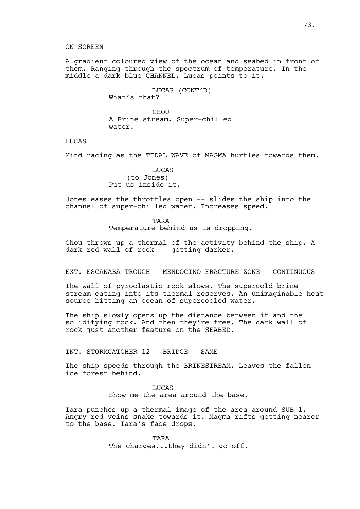A gradient coloured view of the ocean and seabed in front of them. Ranging through the spectrum of temperature. In the middle a dark blue CHANNEL. Lucas points to it.

> LUCAS (CONT'D) What's that?

CHOU A Brine stream. Super-chilled water.

LUCAS

Mind racing as the TIDAL WAVE of MAGMA hurtles towards them.

**LUCAS** (to Jones) Put us inside it.

Jones eases the throttles open -- slides the ship into the channel of super-chilled water. Increases speed.

TARA

Temperature behind us is dropping.

Chou throws up a thermal of the activity behind the ship. A dark red wall of rock -- getting darker.

EXT. ESCANABA TROUGH - MENDOCINO FRACTURE ZONE - CONTINUOUS

The wall of pyroclastic rock slows. The supercold brine stream eating into its thermal reserves. An unimaginable heat source hitting an ocean of supercooled water.

The ship slowly opens up the distance between it and the solidifying rock. And then they're free. The dark wall of rock just another feature on the SEABED.

INT. STORMCATCHER 12 - BRIDGE - SAME

The ship speeds through the BRINESTREAM. Leaves the fallen ice forest behind.

> **LUCAS** Show me the area around the base.

Tara punches up a thermal image of the area around SUB-1. Angry red veins snake towards it. Magma rifts getting nearer to the base. Tara's face drops.

> TARA The charges...they didn't go off.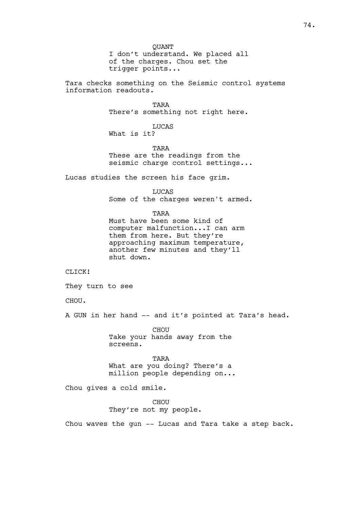QUANT I don't understand. We placed all of the charges. Chou set the trigger points...

Tara checks something on the Seismic control systems information readouts.

> TARA There's something not right here.

LUCAS What is it?

**TARA** These are the readings from the seismic charge control settings...

Lucas studies the screen his face grim.

LUCAS Some of the charges weren't armed.

TARA

Must have been some kind of computer malfunction...I can arm them from here. But they're approaching maximum temperature, another few minutes and they'll shut down.

CLICK!

They turn to see

CHOU.

A GUN in her hand -- and it's pointed at Tara's head.

CHOU Take your hands away from the screens.

TARA What are you doing? There's a million people depending on...

Chou gives a cold smile.

**CHOU** They're not my people.

Chou waves the gun -- Lucas and Tara take a step back.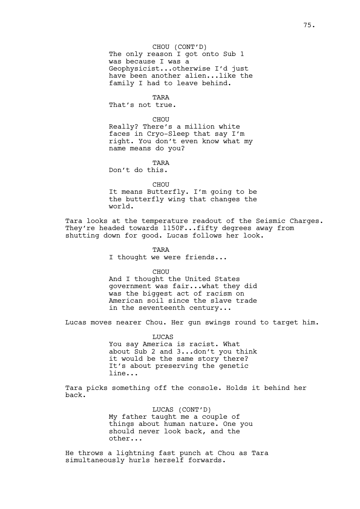#### CHOU (CONT'D)

The only reason I got onto Sub 1 was because I was a Geophysicist...otherwise I'd just have been another alien...like the family I had to leave behind.

TARA

That's not true.

**CHOU** 

Really? There's a million white faces in Cryo-Sleep that say I'm right. You don't even know what my name means do you?

TARA

Don't do this.

CHOU

It means Butterfly. I'm going to be the butterfly wing that changes the world.

Tara looks at the temperature readout of the Seismic Charges. They're headed towards 1150F...fifty degrees away from shutting down for good. Lucas follows her look.

> TARA I thought we were friends...

> > CHOU

And I thought the United States government was fair...what they did was the biggest act of racism on American soil since the slave trade in the seventeenth century...

Lucas moves nearer Chou. Her gun swings round to target him.

LUCAS You say America is racist. What about Sub 2 and 3...don't you think it would be the same story there? It's about preserving the genetic line...

Tara picks something off the console. Holds it behind her back.

> LUCAS (CONT'D) My father taught me a couple of things about human nature. One you should never look back, and the other...

He throws a lightning fast punch at Chou as Tara simultaneously hurls herself forwards.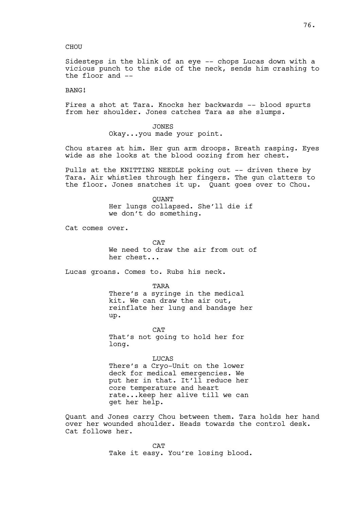Sidesteps in the blink of an eye -- chops Lucas down with a vicious punch to the side of the neck, sends him crashing to the floor and --

BANG!

Fires a shot at Tara. Knocks her backwards -- blood spurts from her shoulder. Jones catches Tara as she slumps.

> JONES Okay...you made your point.

Chou stares at him. Her gun arm droops. Breath rasping. Eyes wide as she looks at the blood oozing from her chest.

Pulls at the KNITTING NEEDLE poking out -- driven there by Tara. Air whistles through her fingers. The gun clatters to the floor. Jones snatches it up. Quant goes over to Chou.

> **OUANT** Her lungs collapsed. She'll die if we don't do something.

Cat comes over.

**CAT** We need to draw the air from out of her chest...

Lucas groans. Comes to. Rubs his neck.

TARA

There's a syringe in the medical kit. We can draw the air out, reinflate her lung and bandage her up.

**CAT** That's not going to hold her for long.

LUCAS There's a Cryo-Unit on the lower deck for medical emergencies. We put her in that. It'll reduce her core temperature and heart rate...keep her alive till we can get her help.

Quant and Jones carry Chou between them. Tara holds her hand over her wounded shoulder. Heads towards the control desk. Cat follows her.

> **CAT** Take it easy. You're losing blood.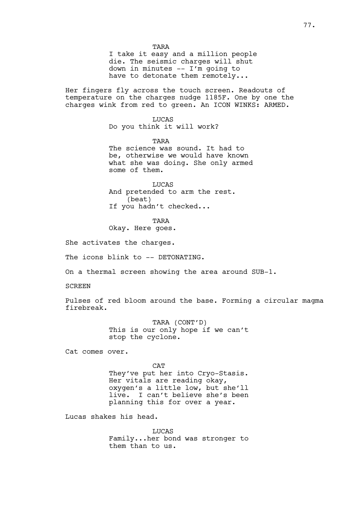77.

TARA I take it easy and a million people die. The seismic charges will shut down in minutes -- I'm going to have to detonate them remotely...

Her fingers fly across the touch screen. Readouts of temperature on the charges nudge 1185F. One by one the charges wink from red to green. An ICON WINKS: ARMED.

> LUCAS Do you think it will work?

TARA The science was sound. It had to be, otherwise we would have known what she was doing. She only armed some of them.

LUCAS And pretended to arm the rest. (beat) If you hadn't checked...

TARA

Okay. Here goes.

She activates the charges.

The icons blink to -- DETONATING.

On a thermal screen showing the area around SUB-1.

SCREEN

Pulses of red bloom around the base. Forming a circular magma firebreak.

> TARA (CONT'D) This is our only hope if we can't stop the cyclone.

Cat comes over.

CAT They've put her into Cryo-Stasis. Her vitals are reading okay, oxygen's a little low, but she'll live. I can't believe she's been planning this for over a year.

Lucas shakes his head.

**LUCAS** Family...her bond was stronger to them than to us.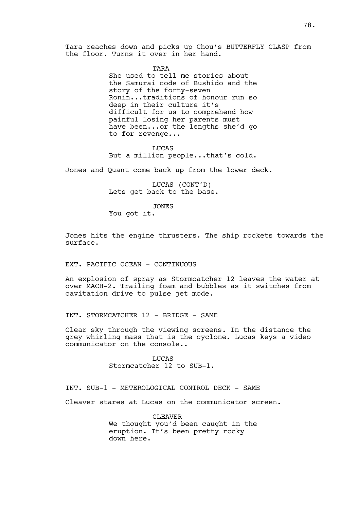Tara reaches down and picks up Chou's BUTTERFLY CLASP from the floor. Turns it over in her hand.

TARA

She used to tell me stories about the Samurai code of Bushido and the story of the forty-seven Ronin...traditions of honour run so deep in their culture it's difficult for us to comprehend how painful losing her parents must have been...or the lengths she'd go to for revenge...

LUCAS But a million people...that's cold.

Jones and Quant come back up from the lower deck.

LUCAS (CONT'D) Lets get back to the base.

JONES

You got it.

Jones hits the engine thrusters. The ship rockets towards the surface.

EXT. PACIFIC OCEAN - CONTINUOUS

An explosion of spray as Stormcatcher 12 leaves the water at over MACH-2. Trailing foam and bubbles as it switches from cavitation drive to pulse jet mode.

INT. STORMCATCHER 12 - BRIDGE - SAME

Clear sky through the viewing screens. In the distance the grey whirling mass that is the cyclone. Lucas keys a video communicator on the console..

> **LUCAS** Stormcatcher 12 to SUB-1.

INT. SUB-1 - METEROLOGICAL CONTROL DECK - SAME

Cleaver stares at Lucas on the communicator screen.

CLEAVER We thought you'd been caught in the eruption. It's been pretty rocky down here.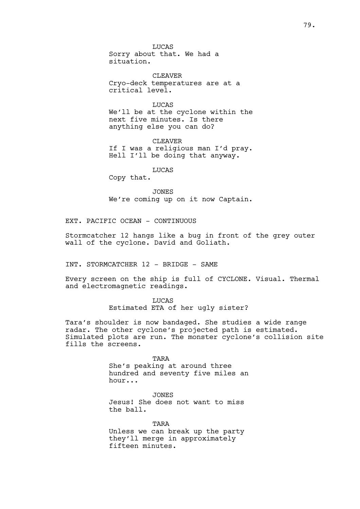LUCAS Sorry about that. We had a situation.

CLEAVER Cryo-deck temperatures are at a critical level.

LUCAS

We'll be at the cyclone within the next five minutes. Is there anything else you can do?

CLEAVER If I was a religious man I'd pray. Hell I'll be doing that anyway.

LUCAS

Copy that.

JONES We're coming up on it now Captain.

EXT. PACIFIC OCEAN - CONTINUOUS

Stormcatcher 12 hangs like a bug in front of the grey outer wall of the cyclone. David and Goliath.

INT. STORMCATCHER 12 - BRIDGE - SAME

Every screen on the ship is full of CYCLONE. Visual. Thermal and electromagnetic readings.

> LUCAS Estimated ETA of her ugly sister?

Tara's shoulder is now bandaged. She studies a wide range radar. The other cyclone's projected path is estimated. Simulated plots are run. The monster cyclone's collision site fills the screens.

**TARA** 

She's peaking at around three hundred and seventy five miles an hour...

JONES Jesus! She does not want to miss the ball.

TARA Unless we can break up the party they'll merge in approximately fifteen minutes.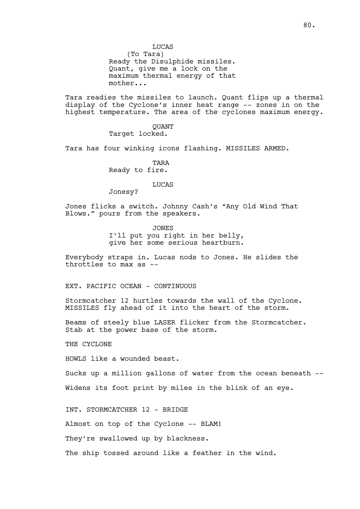(To Tara) Ready the Disulphide missiles. Quant, give me a lock on the maximum thermal energy of that mother...

Tara readies the missiles to launch. Quant flips up a thermal display of the Cyclone's inner heat range -- zones in on the highest temperature. The area of the cyclones maximum energy.

> QUANT Target locked.

Tara has four winking icons flashing. MISSILES ARMED.

TARA Ready to fire.

### LUCAS

Jonesy?

Jones flicks a switch. Johnny Cash's "Any Old Wind That Blows." pours from the speakers.

> JONES I'll put you right in her belly, give her some serious heartburn.

Everybody straps in. Lucas nods to Jones. He slides the throttles to max as --

EXT. PACIFIC OCEAN - CONTINUOUS

Stormcatcher 12 hurtles towards the wall of the Cyclone. MISSILES fly ahead of it into the heart of the storm.

Beams of steely blue LASER flicker from the Stormcatcher. Stab at the power base of the storm.

THE CYCLONE

HOWLS like a wounded beast.

Sucks up a million gallons of water from the ocean beneath -- Widens its foot print by miles in the blink of an eye.

INT. STORMCATCHER 12 - BRIDGE

Almost on top of the Cyclone -- BLAM!

They're swallowed up by blackness.

The ship tossed around like a feather in the wind.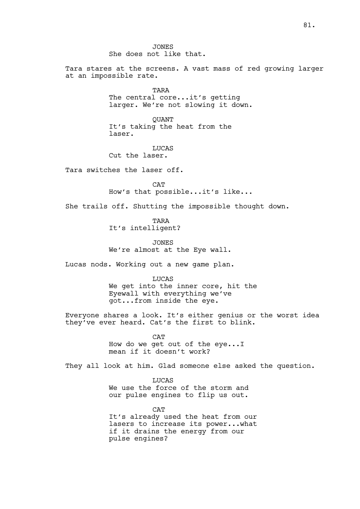JONES She does not like that.

Tara stares at the screens. A vast mass of red growing larger at an impossible rate.

> TARA The central core...it's getting larger. We're not slowing it down.

**OUANT** It's taking the heat from the laser.

LUCAS Cut the laser.

Tara switches the laser off.

CAT How's that possible...it's like...

She trails off. Shutting the impossible thought down.

TARA It's intelligent?

JONES We're almost at the Eye wall.

Lucas nods. Working out a new game plan.

LUCAS We get into the inner core, hit the Eyewall with everything we've got...from inside the eye.

Everyone shares a look. It's either genius or the worst idea they've ever heard. Cat's the first to blink.

> **CAT** How do we get out of the eye...I mean if it doesn't work?

They all look at him. Glad someone else asked the question.

**LUCAS** We use the force of the storm and our pulse engines to flip us out.

**CAT** It's already used the heat from our lasers to increase its power...what if it drains the energy from our pulse engines?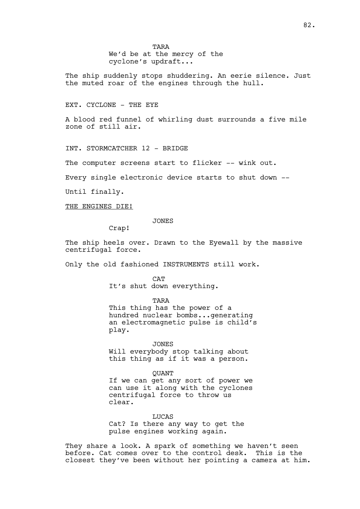TARA We'd be at the mercy of the cyclone's updraft...

The ship suddenly stops shuddering. An eerie silence. Just the muted roar of the engines through the hull.

### EXT. CYCLONE - THE EYE

A blood red funnel of whirling dust surrounds a five mile zone of still air.

INT. STORMCATCHER 12 - BRIDGE

The computer screens start to flicker -- wink out.

Every single electronic device starts to shut down --

Until finally.

#### THE ENGINES DIE!

JONES

Crap!

The ship heels over. Drawn to the Eyewall by the massive centrifugal force.

Only the old fashioned INSTRUMENTS still work.

CAT It's shut down everything.

TARA This thing has the power of a hundred nuclear bombs...generating an electromagnetic pulse is child's play.

JONES Will everybody stop talking about this thing as if it was a person.

**OUANT** If we can get any sort of power we can use it along with the cyclones centrifugal force to throw us clear.

**LUCAS** Cat? Is there any way to get the pulse engines working again.

They share a look. A spark of something we haven't seen before. Cat comes over to the control desk. This is the closest they've been without her pointing a camera at him.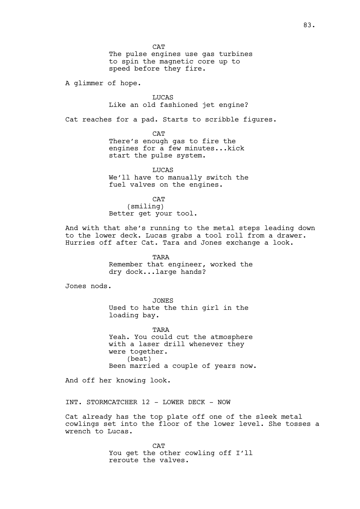**CAT** The pulse engines use gas turbines to spin the magnetic core up to speed before they fire.

A glimmer of hope.

**LUCAS** Like an old fashioned jet engine?

Cat reaches for a pad. Starts to scribble figures.

CAT There's enough gas to fire the engines for a few minutes...kick start the pulse system.

**LUCAS** We'll have to manually switch the fuel valves on the engines.

CAT (smiling)

Better get your tool.

And with that she's running to the metal steps leading down to the lower deck. Lucas grabs a tool roll from a drawer. Hurries off after Cat. Tara and Jones exchange a look.

> TARA Remember that engineer, worked the dry dock...large hands?

Jones nods.

JONES Used to hate the thin girl in the loading bay.

TARA Yeah. You could cut the atmosphere with a laser drill whenever they were together. (beat) Been married a couple of years now.

And off her knowing look.

INT. STORMCATCHER 12 - LOWER DECK - NOW

Cat already has the top plate off one of the sleek metal cowlings set into the floor of the lower level. She tosses a wrench to Lucas.

> CAT You get the other cowling off I'll reroute the valves.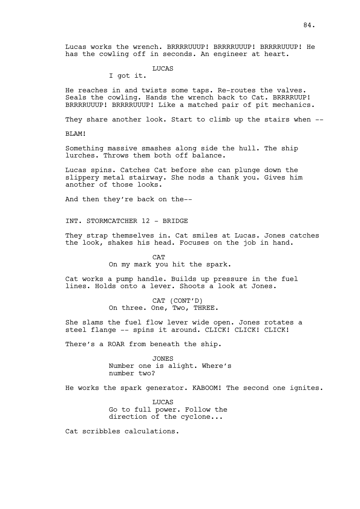Lucas works the wrench. BRRRRUUUP! BRRRRUUUP! BRRRRUUUP! He has the cowling off in seconds. An engineer at heart.

# LUCAS

I got it.

He reaches in and twists some taps. Re-routes the valves. Seals the cowling. Hands the wrench back to Cat. BRRRRUUP! BRRRRUUUP! BRRRRUUUP! Like a matched pair of pit mechanics.

They share another look. Start to climb up the stairs when --

BLAM!

Something massive smashes along side the hull. The ship lurches. Throws them both off balance.

Lucas spins. Catches Cat before she can plunge down the slippery metal stairway. She nods a thank you. Gives him another of those looks.

And then they're back on the--

INT. STORMCATCHER 12 - BRIDGE

They strap themselves in. Cat smiles at Lucas. Jones catches the look, shakes his head. Focuses on the job in hand.

> **CAT** On my mark you hit the spark.

Cat works a pump handle. Builds up pressure in the fuel lines. Holds onto a lever. Shoots a look at Jones.

> CAT (CONT'D) On three. One, Two, THREE.

She slams the fuel flow lever wide open. Jones rotates a steel flange -- spins it around. CLICK! CLICK! CLICK!

There's a ROAR from beneath the ship.

JONES Number one is alight. Where's number two?

He works the spark generator. KABOOM! The second one ignites.

**LUCAS** Go to full power. Follow the direction of the cyclone...

Cat scribbles calculations.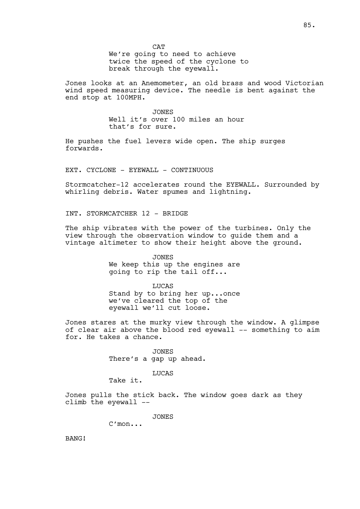We're going to need to achieve twice the speed of the cyclone to break through the eyewall.

Jones looks at an Anemometer, an old brass and wood Victorian wind speed measuring device. The needle is bent against the end stop at 100MPH.

> JONES Well it's over 100 miles an hour that's for sure.

He pushes the fuel levers wide open. The ship surges forwards.

EXT. CYCLONE - EYEWALL - CONTINUOUS

Stormcatcher-12 accelerates round the EYEWALL. Surrounded by whirling debris. Water spumes and lightning.

INT. STORMCATCHER 12 - BRIDGE

The ship vibrates with the power of the turbines. Only the view through the observation window to guide them and a vintage altimeter to show their height above the ground.

> JONES We keep this up the engines are going to rip the tail off...

> LUCAS Stand by to bring her up...once we've cleared the top of the eyewall we'll cut loose.

Jones stares at the murky view through the window. A glimpse of clear air above the blood red eyewall -- something to aim for. He takes a chance.

> JONES There's a gap up ahead.

> > LUCAS

Take it.

Jones pulls the stick back. The window goes dark as they climb the eyewall --

JONES

C'mon...

BANG!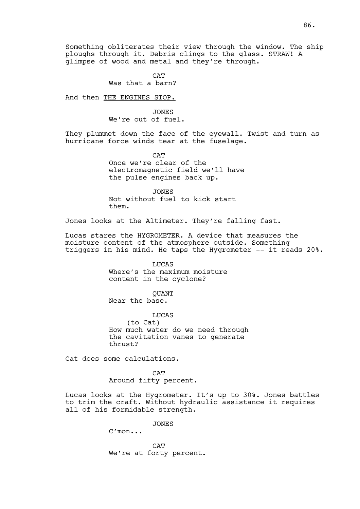86.

Something obliterates their view through the window. The ship ploughs through it. Debris clings to the glass. STRAW! A glimpse of wood and metal and they're through.

> CAT Was that a barn?

And then THE ENGINES STOP.

JONES We're out of fuel.

They plummet down the face of the eyewall. Twist and turn as hurricane force winds tear at the fuselage.

> **CAT** Once we're clear of the electromagnetic field we'll have the pulse engines back up.

JONES Not without fuel to kick start them.

Jones looks at the Altimeter. They're falling fast.

Lucas stares the HYGROMETER. A device that measures the moisture content of the atmosphere outside. Something triggers in his mind. He taps the Hygrometer -- it reads 20%.

> LUCAS Where's the maximum moisture content in the cyclone?

> > QUANT

Near the base.

LUCAS (to Cat) How much water do we need through the cavitation vanes to generate thrust?

Cat does some calculations.

CAT Around fifty percent.

Lucas looks at the Hygrometer. It's up to 30%. Jones battles to trim the craft. Without hydraulic assistance it requires all of his formidable strength.

JONES

C'mon...

CAT We're at forty percent.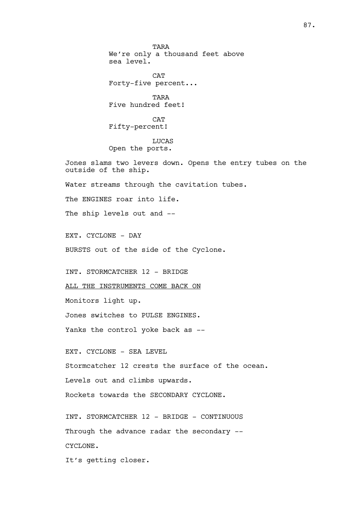TARA We're only a thousand feet above sea level.

CAT Forty-five percent...

TARA Five hundred feet!

**CAT** Fifty-percent!

LUCAS Open the ports.

Jones slams two levers down. Opens the entry tubes on the outside of the ship.

Water streams through the cavitation tubes.

The ENGINES roar into life.

The ship levels out and --

EXT. CYCLONE - DAY

BURSTS out of the side of the Cyclone.

INT. STORMCATCHER 12 - BRIDGE

ALL THE INSTRUMENTS COME BACK ON

Monitors light up.

Jones switches to PULSE ENGINES.

Yanks the control yoke back as --

EXT. CYCLONE - SEA LEVEL

Stormcatcher 12 crests the surface of the ocean.

Levels out and climbs upwards.

Rockets towards the SECONDARY CYCLONE.

INT. STORMCATCHER 12 - BRIDGE - CONTINUOUS Through the advance radar the secondary -- CYCLONE.

It's getting closer.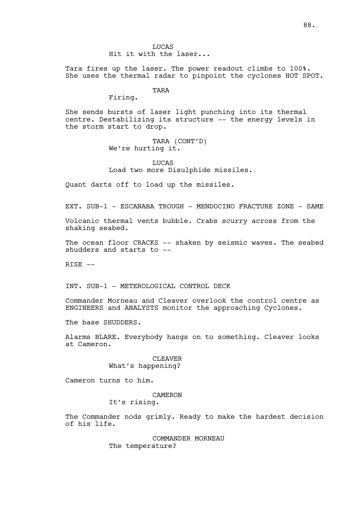LUCAS Hit it with the laser...

Tara fires up the laser. The power readout climbs to 100%. She uses the thermal radar to pinpoint the cyclones HOT SPOT.

# TARA

Firing.

She sends bursts of laser light punching into its thermal centre. Destabilizing its structure -- the energy levels in the storm start to drop.

> TARA (CONT'D) We're hurting it.

LUCAS Load two more Disulphide missiles.

Quant darts off to load up the missiles.

EXT. SUB-1 - ESCANABA TROUGH - MENDOCINO FRACTURE ZONE - SAME

Volcanic thermal vents bubble. Crabs scurry across from the shaking seabed.

The ocean floor CRACKS -- shaken by seismic waves. The seabed shudders and starts to --

 $RISE$   $--$ 

INT. SUB-1 - METEROLOGICAL CONTROL DECK

Commander Morneau and Cleaver overlook the control centre as ENGINEERS and ANALYSTS monitor the approaching Cyclones.

The base SHUDDERS.

Alarms BLARE. Everybody hangs on to something. Cleaver looks at Cameron.

> CLEAVER What's happening?

Cameron turns to him.

### CAMERON

It's rising.

The Commander nods grimly. Ready to make the hardest decision of his life.

> COMMANDER MORNEAU The temperature?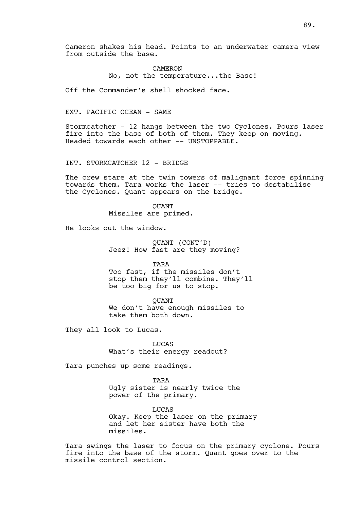Cameron shakes his head. Points to an underwater camera view from outside the base.

> CAMERON No, not the temperature...the Base!

Off the Commander's shell shocked face.

# EXT. PACIFIC OCEAN - SAME

Stormcatcher - 12 hangs between the two Cyclones. Pours laser fire into the base of both of them. They keep on moving. Headed towards each other -- UNSTOPPABLE.

INT. STORMCATCHER 12 - BRIDGE

The crew stare at the twin towers of malignant force spinning towards them. Tara works the laser -- tries to destabilise the Cyclones. Quant appears on the bridge.

> QUANT Missiles are primed.

He looks out the window.

QUANT (CONT'D) Jeez! How fast are they moving?

TARA

Too fast, if the missiles don't stop them they'll combine. They'll be too big for us to stop.

QUANT We don't have enough missiles to take them both down.

They all look to Lucas.

LUCAS What's their energy readout?

Tara punches up some readings.

TARA Ugly sister is nearly twice the power of the primary.

**LUCAS** Okay. Keep the laser on the primary and let her sister have both the missiles.

Tara swings the laser to focus on the primary cyclone. Pours fire into the base of the storm. Quant goes over to the missile control section.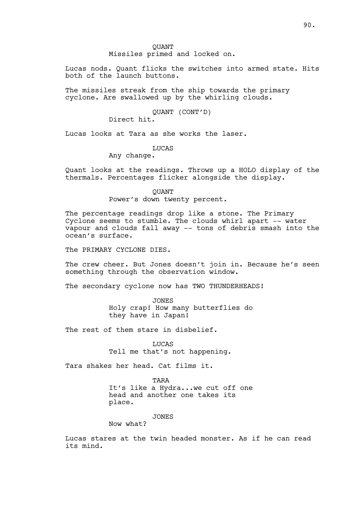QUANT Missiles primed and locked on.

Lucas nods. Quant flicks the switches into armed state. Hits both of the launch buttons.

The missiles streak from the ship towards the primary cyclone. Are swallowed up by the whirling clouds.

# QUANT (CONT'D)

Direct hit.

Lucas looks at Tara as she works the laser.

LUCAS

Any change.

Quant looks at the readings. Throws up a HOLO display of the thermals. Percentages flicker alongside the display.

> **OUANT** Power's down twenty percent.

The percentage readings drop like a stone. The Primary Cyclone seems to stumble. The clouds whirl apart -- water vapour and clouds fall away -- tons of debris smash into the ocean's surface.

The PRIMARY CYCLONE DIES.

The crew cheer. But Jones doesn't join in. Because he's seen something through the observation window.

The secondary cyclone now has TWO THUNDERHEADS!

JONES Holy crap! How many butterflies do they have in Japan!

The rest of them stare in disbelief.

LUCAS Tell me that's not happening.

Tara shakes her head. Cat films it.

TARA It's like a Hydra...we cut off one head and another one takes its place.

**JONES** 

Now what?

Lucas stares at the twin headed monster. As if he can read its mind.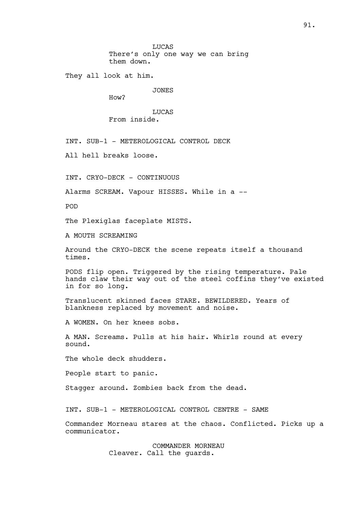LUCAS There's only one way we can bring them down.

They all look at him.

JONES

How?

LUCAS From inside.

INT. SUB-1 - METEROLOGICAL CONTROL DECK

All hell breaks loose.

INT. CRYO-DECK - CONTINUOUS

Alarms SCREAM. Vapour HISSES. While in a --

POD

The Plexiglas faceplate MISTS.

A MOUTH SCREAMING

Around the CRYO-DECK the scene repeats itself a thousand times.

PODS flip open. Triggered by the rising temperature. Pale hands claw their way out of the steel coffins they've existed in for so long.

Translucent skinned faces STARE. BEWILDERED. Years of blankness replaced by movement and noise.

A WOMEN. On her knees sobs.

A MAN. Screams. Pulls at his hair. Whirls round at every sound.

The whole deck shudders.

People start to panic.

Stagger around. Zombies back from the dead.

INT. SUB-1 - METEROLOGICAL CONTROL CENTRE - SAME

Commander Morneau stares at the chaos. Conflicted. Picks up a communicator.

> COMMANDER MORNEAU Cleaver. Call the guards.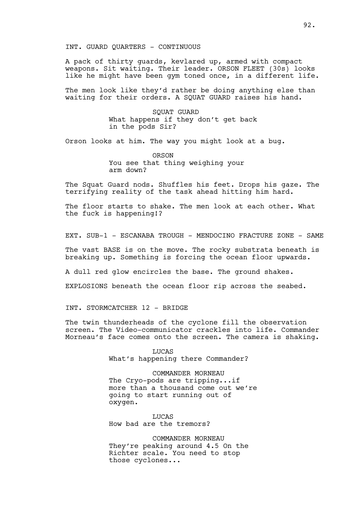INT. GUARD QUARTERS - CONTINUOUS

A pack of thirty guards, kevlared up, armed with compact weapons. Sit waiting. Their leader. ORSON FLEET (30s) looks like he might have been gym toned once, in a different life.

The men look like they'd rather be doing anything else than waiting for their orders. A SQUAT GUARD raises his hand.

> SQUAT GUARD What happens if they don't get back in the pods Sir?

Orson looks at him. The way you might look at a bug.

ORSON You see that thing weighing your arm down?

The Squat Guard nods. Shuffles his feet. Drops his gaze. The terrifying reality of the task ahead hitting him hard.

The floor starts to shake. The men look at each other. What the fuck is happening!?

EXT. SUB-1 - ESCANABA TROUGH - MENDOCINO FRACTURE ZONE - SAME

The vast BASE is on the move. The rocky substrata beneath is breaking up. Something is forcing the ocean floor upwards.

A dull red glow encircles the base. The ground shakes.

EXPLOSIONS beneath the ocean floor rip across the seabed.

INT. STORMCATCHER 12 - BRIDGE

The twin thunderheads of the cyclone fill the observation screen. The Video-communicator crackles into life. Commander Morneau's face comes onto the screen. The camera is shaking.

> LUCAS What's happening there Commander?

COMMANDER MORNEAU The Cryo-pods are tripping...if more than a thousand come out we're going to start running out of oxygen.

**LUCAS** How bad are the tremors?

COMMANDER MORNEAU They're peaking around 4.5 On the Richter scale. You need to stop those cyclones...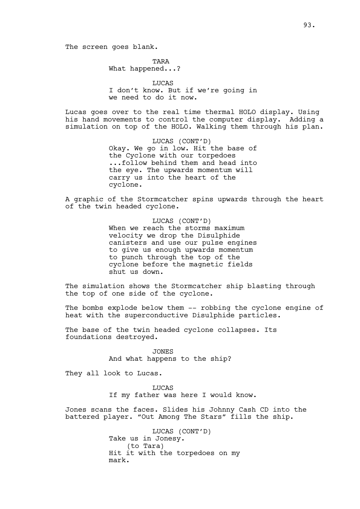TARA

What happened...?

LUCAS I don't know. But if we're going in we need to do it now.

Lucas goes over to the real time thermal HOLO display. Using his hand movements to control the computer display. Adding a simulation on top of the HOLO. Walking them through his plan.

> LUCAS (CONT'D) Okay. We go in low. Hit the base of the Cyclone with our torpedoes ...follow behind them and head into the eye. The upwards momentum will carry us into the heart of the cyclone.

A graphic of the Stormcatcher spins upwards through the heart of the twin headed cyclone.

> LUCAS (CONT'D) When we reach the storms maximum velocity we drop the Disulphide canisters and use our pulse engines to give us enough upwards momentum to punch through the top of the cyclone before the magnetic fields shut us down.

The simulation shows the Stormcatcher ship blasting through the top of one side of the cyclone.

The bombs explode below them -- robbing the cyclone engine of heat with the superconductive Disulphide particles.

The base of the twin headed cyclone collapses. Its foundations destroyed.

> JONES And what happens to the ship?

They all look to Lucas.

**LUCAS** If my father was here I would know.

Jones scans the faces. Slides his Johnny Cash CD into the battered player. "Out Among The Stars" fills the ship.

> LUCAS (CONT'D) Take us in Jonesy. (to Tara) Hit it with the torpedoes on my mark.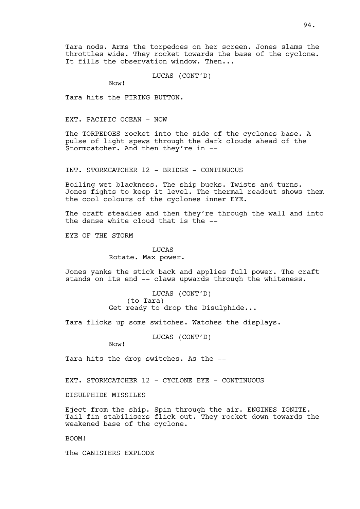Tara nods. Arms the torpedoes on her screen. Jones slams the throttles wide. They rocket towards the base of the cyclone. It fills the observation window. Then...

LUCAS (CONT'D)

Now!

Tara hits the FIRING BUTTON.

EXT. PACIFIC OCEAN - NOW

The TORPEDOES rocket into the side of the cyclones base. A pulse of light spews through the dark clouds ahead of the Stormcatcher. And then they're in --

INT. STORMCATCHER 12 - BRIDGE - CONTINUOUS

Boiling wet blackness. The ship bucks. Twists and turns. Jones fights to keep it level. The thermal readout shows them the cool colours of the cyclones inner EYE.

The craft steadies and then they're through the wall and into the dense white cloud that is the --

EYE OF THE STORM

# **LUCAS** Rotate. Max power.

Jones yanks the stick back and applies full power. The craft stands on its end -- claws upwards through the whiteness.

> LUCAS (CONT'D) (to Tara) Get ready to drop the Disulphide...

Tara flicks up some switches. Watches the displays.

LUCAS (CONT'D)

Now!

Tara hits the drop switches. As the --

EXT. STORMCATCHER 12 - CYCLONE EYE - CONTINUOUS

DISULPHIDE MISSILES

Eject from the ship. Spin through the air. ENGINES IGNITE. Tail fin stabilisers flick out. They rocket down towards the weakened base of the cyclone.

BOOM!

The CANISTERS EXPLODE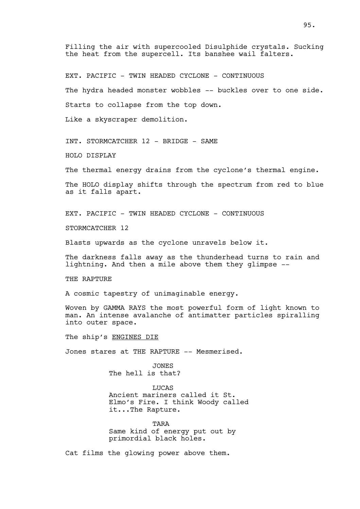Filling the air with supercooled Disulphide crystals. Sucking the heat from the supercell. Its banshee wail falters.

EXT. PACIFIC - TWIN HEADED CYCLONE - CONTINUOUS

The hydra headed monster wobbles -- buckles over to one side.

Starts to collapse from the top down.

Like a skyscraper demolition.

INT. STORMCATCHER 12 - BRIDGE - SAME

HOLO DISPLAY

The thermal energy drains from the cyclone's thermal engine.

The HOLO display shifts through the spectrum from red to blue as it falls apart.

EXT. PACIFIC - TWIN HEADED CYCLONE - CONTINUOUS

STORMCATCHER 12

Blasts upwards as the cyclone unravels below it.

The darkness falls away as the thunderhead turns to rain and lightning. And then a mile above them they glimpse --

THE RAPTURE

A cosmic tapestry of unimaginable energy.

Woven by GAMMA RAYS the most powerful form of light known to man. An intense avalanche of antimatter particles spiralling into outer space.

The ship's ENGINES DIE

Jones stares at THE RAPTURE -- Mesmerised.

JONES The hell is that?

**LUCAS** Ancient mariners called it St. Elmo's Fire. I think Woody called it...The Rapture.

**TARA** Same kind of energy put out by primordial black holes.

Cat films the glowing power above them.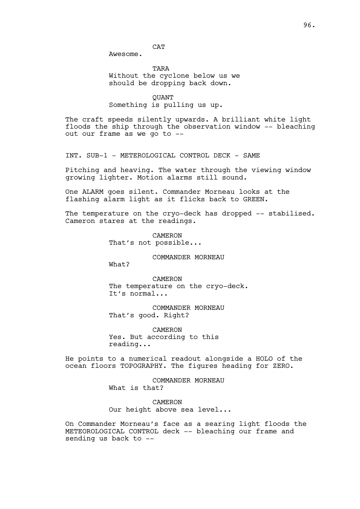**CAT** 

Awesome.

TARA Without the cyclone below us we should be dropping back down.

**OUANT** Something is pulling us up.

The craft speeds silently upwards. A brilliant white light floods the ship through the observation window -- bleaching out our frame as we go to --

INT. SUB-1 - METEROLOGICAL CONTROL DECK - SAME

Pitching and heaving. The water through the viewing window growing lighter. Motion alarms still sound.

One ALARM goes silent. Commander Morneau looks at the flashing alarm light as it flicks back to GREEN.

The temperature on the cryo-deck has dropped -- stabilised. Cameron stares at the readings.

> CAMERON That's not possible...

> > COMMANDER MORNEAU

What?

CAMERON The temperature on the cryo-deck. It's normal...

COMMANDER MORNEAU That's good. Right?

CAMERON Yes. But according to this reading...

He points to a numerical readout alongside a HOLO of the ocean floors TOPOGRAPHY. The figures heading for ZERO.

> COMMANDER MORNEAU What is that?

CAMERON Our height above sea level...

On Commander Morneau's face as a searing light floods the METEOROLOGICAL CONTROL deck -- bleaching our frame and sending us back to --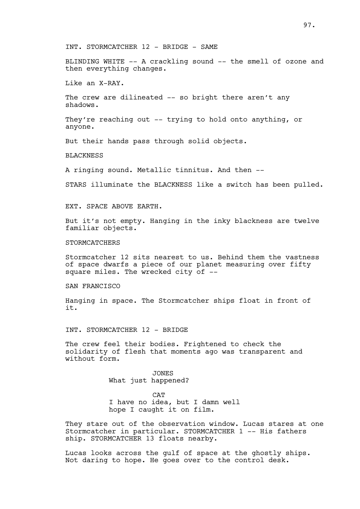INT. STORMCATCHER 12 - BRIDGE - SAME

BLINDING WHITE -- A crackling sound -- the smell of ozone and then everything changes.

Like an X-RAY.

The crew are dilineated -- so bright there aren't any shadows.

They're reaching out -- trying to hold onto anything, or anyone.

But their hands pass through solid objects.

BLACKNESS

A ringing sound. Metallic tinnitus. And then --

STARS illuminate the BLACKNESS like a switch has been pulled.

EXT. SPACE ABOVE EARTH.

But it's not empty. Hanging in the inky blackness are twelve familiar objects.

STORMCATCHERS

Stormcatcher 12 sits nearest to us. Behind them the vastness of space dwarfs a piece of our planet measuring over fifty square miles. The wrecked city of --

SAN FRANCISCO

Hanging in space. The Stormcatcher ships float in front of it.

INT. STORMCATCHER 12 - BRIDGE

The crew feel their bodies. Frightened to check the solidarity of flesh that moments ago was transparent and without form.

> JONES What just happened?

**CAT** I have no idea, but I damn well hope I caught it on film.

They stare out of the observation window. Lucas stares at one Stormcatcher in particular. STORMCATCHER 1 -- His fathers ship. STORMCATCHER 13 floats nearby.

Lucas looks across the gulf of space at the ghostly ships. Not daring to hope. He goes over to the control desk.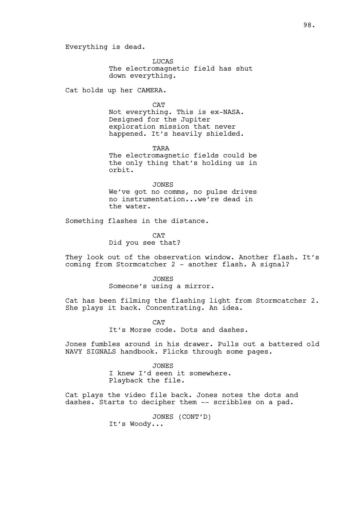Everything is dead.

LUCAS The electromagnetic field has shut down everything.

Cat holds up her CAMERA.

**CAT** 

Not everything. This is ex-NASA. Designed for the Jupiter exploration mission that never happened. It's heavily shielded.

TARA

The electromagnetic fields could be the only thing that's holding us in orbit.

JONES We've got no comms, no pulse drives no instrumentation...we're dead in the water.

Something flashes in the distance.

CAT Did you see that?

They look out of the observation window. Another flash. It's coming from Stormcatcher 2 - another flash. A signal?

> JONES Someone's using a mirror.

Cat has been filming the flashing light from Stormcatcher 2. She plays it back. Concentrating. An idea.

> **CAT** It's Morse code. Dots and dashes.

Jones fumbles around in his drawer. Pulls out a battered old NAVY SIGNALS handbook. Flicks through some pages.

> JONES I knew I'd seen it somewhere. Playback the file.

Cat plays the video file back. Jones notes the dots and dashes. Starts to decipher them -- scribbles on a pad.

> JONES (CONT'D) It's Woody...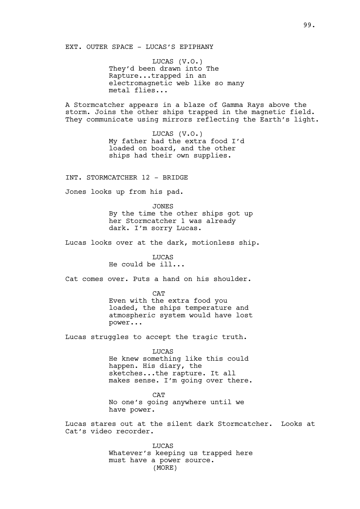EXT. OUTER SPACE - LUCAS'S EPIPHANY

LUCAS (V.O.) They'd been drawn into The Rapture...trapped in an electromagnetic web like so many metal flies...

A Stormcatcher appears in a blaze of Gamma Rays above the storm. Joins the other ships trapped in the magnetic field. They communicate using mirrors reflecting the Earth's light.

> LUCAS (V.O.) My father had the extra food I'd loaded on board, and the other ships had their own supplies.

INT. STORMCATCHER 12 - BRIDGE

Jones looks up from his pad.

JONES By the time the other ships got up her Stormcatcher 1 was already dark. I'm sorry Lucas.

Lucas looks over at the dark, motionless ship.

LUCAS He could be ill...

Cat comes over. Puts a hand on his shoulder.

CAT Even with the extra food you loaded, the ships temperature and atmospheric system would have lost power...

Lucas struggles to accept the tragic truth.

LUCAS He knew something like this could

happen. His diary, the sketches...the rapture. It all makes sense. I'm going over there.

**CAT** No one's going anywhere until we have power.

Lucas stares out at the silent dark Stormcatcher. Looks at Cat's video recorder.

> LUCAS Whatever's keeping us trapped here must have a power source. (MORE)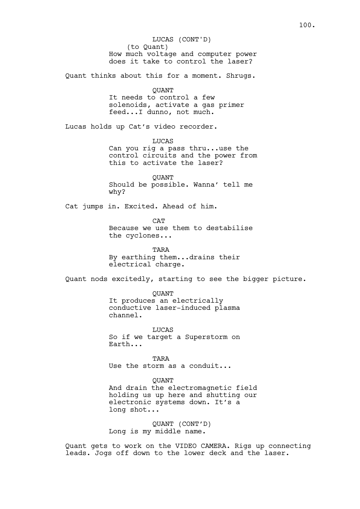(to Quant) How much voltage and computer power does it take to control the laser? Quant thinks about this for a moment. Shrugs. **OUANT** It needs to control a few solenoids, activate a gas primer feed...I dunno, not much. Lucas holds up Cat's video recorder. LUCAS Can you rig a pass thru...use the control circuits and the power from this to activate the laser? **OUANT** Should be possible. Wanna' tell me why? Cat jumps in. Excited. Ahead of him. CAT Because we use them to destabilise the cyclones... TARA By earthing them...drains their electrical charge. Quant nods excitedly, starting to see the bigger picture. **OUANT** It produces an electrically conductive laser-induced plasma channel. **LUCAS** So if we target a Superstorm on Earth... TARA Use the storm as a conduit... **OUANT** And drain the electromagnetic field holding us up here and shutting our electronic systems down. It's a long shot... QUANT (CONT'D) Long is my middle name. LUCAS (CONT'D)

Quant gets to work on the VIDEO CAMERA. Rigs up connecting leads. Jogs off down to the lower deck and the laser.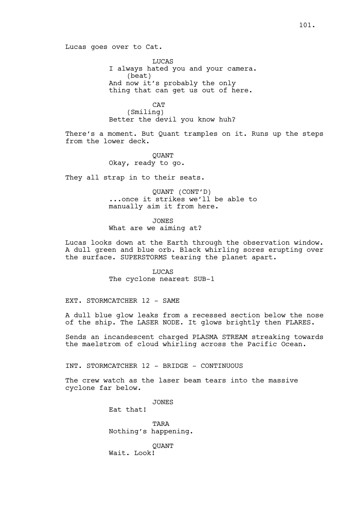Lucas goes over to Cat.

LUCAS I always hated you and your camera. (beat) And now it's probably the only thing that can get us out of here.

**CAT** (Smiling) Better the devil you know huh?

There's a moment. But Quant tramples on it. Runs up the steps from the lower deck.

> **OUANT** Okay, ready to go.

They all strap in to their seats.

QUANT (CONT'D) ...once it strikes we'll be able to manually aim it from here.

JONES

What are we aiming at?

Lucas looks down at the Earth through the observation window. A dull green and blue orb. Black whirling sores erupting over the surface. SUPERSTORMS tearing the planet apart.

> LUCAS The cyclone nearest SUB-1

EXT. STORMCATCHER 12 - SAME

A dull blue glow leaks from a recessed section below the nose of the ship. The LASER NODE. It glows brightly then FLARES.

Sends an incandescent charged PLASMA STREAM streaking towards the maelstrom of cloud whirling across the Pacific Ocean.

INT. STORMCATCHER 12 - BRIDGE - CONTINUOUS

The crew watch as the laser beam tears into the massive cyclone far below.

**JONES** 

Eat that!

**TARA** Nothing's happening.

**OUANT** Wait. Look!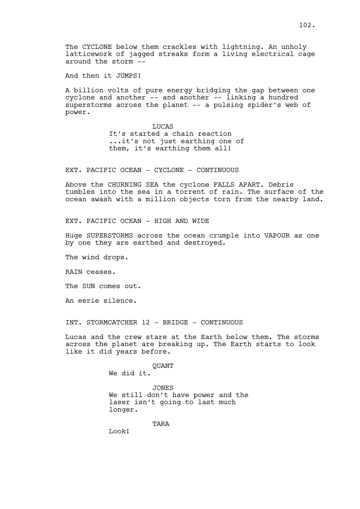The CYCLONE below them crackles with lightning. An unholy latticework of jagged streaks form a living electrical cage around the storm --

And then it JUMPS!

A billion volts of pure energy bridging the gap between one cyclone and another -- and another -- linking a hundred superstorms across the planet -- a pulsing spider's web of power.

> LUCAS It's started a chain reaction ...it's not just earthing one of them, it's earthing them all!

EXT. PACIFIC OCEAN - CYCLONE - CONTINUOUS

Above the CHURNING SEA the cyclone FALLS APART. Debris tumbles into the sea in a torrent of rain. The surface of the ocean awash with a million objects torn from the nearby land.

EXT. PACIFIC OCEAN - HIGH AND WIDE

Huge SUPERSTORMS across the ocean crumple into VAPOUR as one by one they are earthed and destroyed.

The wind drops.

RAIN ceases.

The SUN comes out.

An eerie silence.

INT. STORMCATCHER 12 - BRIDGE - CONTINUOUS

Lucas and the crew stare at the Earth below them. The storms across the planet are breaking up. The Earth starts to look like it did years before.

QUANT

We did it.

JONES We still don't have power and the laser isn't going to last much longer.

**TARA** 

Look!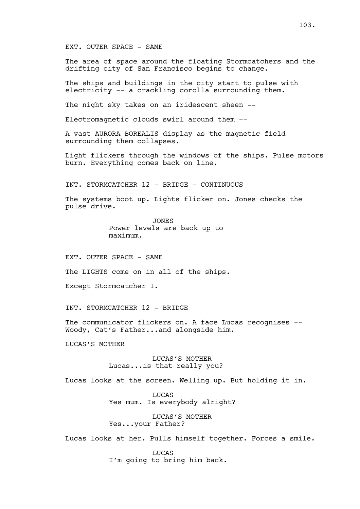## EXT. OUTER SPACE - SAME

The area of space around the floating Stormcatchers and the drifting city of San Francisco begins to change.

The ships and buildings in the city start to pulse with electricity -- a crackling corolla surrounding them.

The night sky takes on an iridescent sheen --

Electromagnetic clouds swirl around them --

A vast AURORA BOREALIS display as the magnetic field surrounding them collapses.

Light flickers through the windows of the ships. Pulse motors burn. Everything comes back on line.

INT. STORMCATCHER 12 - BRIDGE - CONTINUOUS

The systems boot up. Lights flicker on. Jones checks the pulse drive.

> JONES Power levels are back up to maximum.

EXT. OUTER SPACE - SAME

The LIGHTS come on in all of the ships.

Except Stormcatcher 1.

INT. STORMCATCHER 12 - BRIDGE

The communicator flickers on. A face Lucas recognises -- Woody, Cat's Father...and alongside him.

LUCAS'S MOTHER

LUCAS'S MOTHER Lucas...is that really you?

Lucas looks at the screen. Welling up. But holding it in.

LUCAS Yes mum. Is everybody alright?

LUCAS'S MOTHER Yes...your Father?

Lucas looks at her. Pulls himself together. Forces a smile.

**LUCAS** I'm going to bring him back.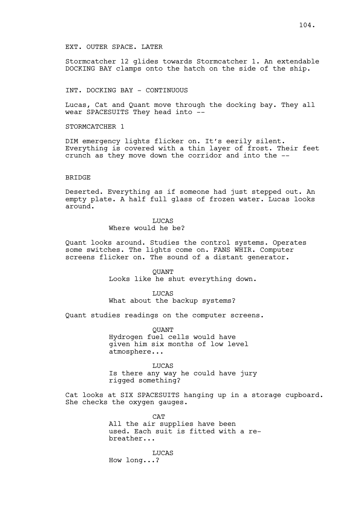### EXT. OUTER SPACE. LATER

Stormcatcher 12 glides towards Stormcatcher 1. An extendable DOCKING BAY clamps onto the hatch on the side of the ship.

## INT. DOCKING BAY - CONTINUOUS

Lucas, Cat and Quant move through the docking bay. They all wear SPACESUITS They head into --

STORMCATCHER 1

DIM emergency lights flicker on. It's eerily silent. Everything is covered with a thin layer of frost. Their feet crunch as they move down the corridor and into the --

#### **BRIDGE**

Deserted. Everything as if someone had just stepped out. An empty plate. A half full glass of frozen water. Lucas looks around.

### LUCAS Where would he be?

Quant looks around. Studies the control systems. Operates some switches. The lights come on. FANS WHIR. Computer screens flicker on. The sound of a distant generator.

> QUANT Looks like he shut everything down.

LUCAS What about the backup systems?

Quant studies readings on the computer screens.

**OUANT** Hydrogen fuel cells would have given him six months of low level atmosphere...

LUCAS Is there any way he could have jury rigged something?

Cat looks at SIX SPACESUITS hanging up in a storage cupboard. She checks the oxygen gauges.

> **CAT** All the air supplies have been used. Each suit is fitted with a rebreather...

LUCAS How long...?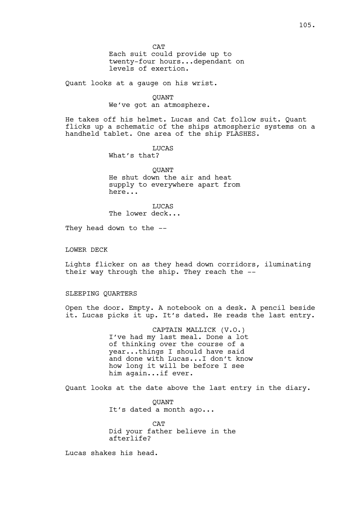**CAT** Each suit could provide up to twenty-four hours...dependant on levels of exertion.

Quant looks at a gauge on his wrist.

# QUANT We've got an atmosphere.

He takes off his helmet. Lucas and Cat follow suit. Quant flicks up a schematic of the ships atmospheric systems on a handheld tablet. One area of the ship FLASHES.

> LUCAS What's that?

**OUANT** He shut down the air and heat supply to everywhere apart from here...

LUCAS The lower deck...

They head down to the --

# LOWER DECK

Lights flicker on as they head down corridors, iluminating their way through the ship. They reach the --

## SLEEPING QUARTERS

Open the door. Empty. A notebook on a desk. A pencil beside it. Lucas picks it up. It's dated. He reads the last entry.

> CAPTAIN MALLICK (V.O.) I've had my last meal. Done a lot of thinking over the course of a year...things I should have said and done with Lucas...I don't know how long it will be before I see him again...if ever.

Quant looks at the date above the last entry in the diary.

**OUANT** It's dated a month ago...

**CAT** Did your father believe in the afterlife?

Lucas shakes his head.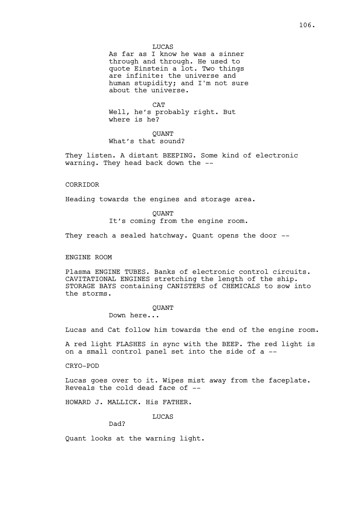As far as I know he was a sinner through and through. He used to quote Einstein a lot. Two things are infinite: the universe and human stupidity; and I'm not sure about the universe.

**CAT** Well, he's probably right. But where is he?

# **OUANT** What's that sound?

They listen. A distant BEEPING. Some kind of electronic warning. They head back down the --

### CORRIDOR

Heading towards the engines and storage area.

**OUANT** It's coming from the engine room.

They reach a sealed hatchway. Quant opens the door --

### ENGINE ROOM

Plasma ENGINE TUBES. Banks of electronic control circuits. CAVITATIONAL ENGINES stretching the length of the ship. STORAGE BAYS containing CANISTERS of CHEMICALS to sow into the storms.

#### **OUANT**

Down here...

Lucas and Cat follow him towards the end of the engine room.

A red light FLASHES in sync with the BEEP. The red light is on a small control panel set into the side of a --

CRYO-POD

Lucas goes over to it. Wipes mist away from the faceplate. Reveals the cold dead face of --

HOWARD J. MALLICK. His FATHER.

LUCAS

Dad?

Quant looks at the warning light.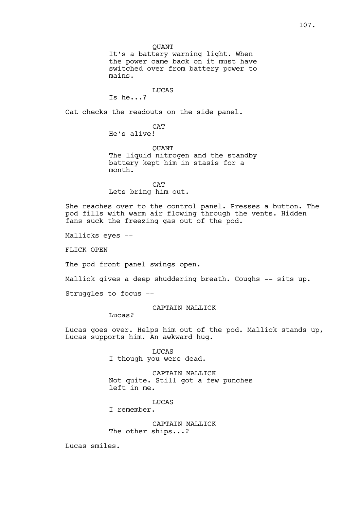QUANT

It's a battery warning light. When the power came back on it must have switched over from battery power to mains.

# LUCAS

Is he...?

Cat checks the readouts on the side panel.

CAT

He's alive!

QUANT The liquid nitrogen and the standby battery kept him in stasis for a month.

**CAT** Lets bring him out.

She reaches over to the control panel. Presses a button. The pod fills with warm air flowing through the vents. Hidden fans suck the freezing gas out of the pod.

Mallicks eyes --

FLICK OPEN

The pod front panel swings open.

Mallick gives a deep shuddering breath. Coughs -- sits up.

Struggles to focus --

# CAPTAIN MALLICK

Lucas?

Lucas goes over. Helps him out of the pod. Mallick stands up, Lucas supports him. An awkward hug.

> LUCAS I though you were dead.

CAPTAIN MALLICK Not quite. Still got a few punches left in me.

**LUCAS** 

I remember.

CAPTAIN MALLICK The other ships...?

Lucas smiles.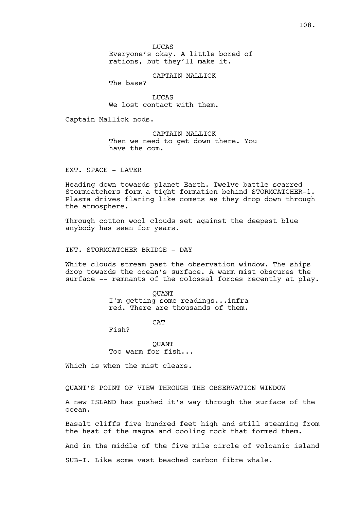LUCAS Everyone's okay. A little bored of rations, but they'll make it.

CAPTAIN MALLICK

The base?

**LUCAS** We lost contact with them.

Captain Mallick nods.

CAPTAIN MALLICK Then we need to get down there. You have the com.

EXT. SPACE - LATER

Heading down towards planet Earth. Twelve battle scarred Stormcatchers form a tight formation behind STORMCATCHER-1. Plasma drives flaring like comets as they drop down through the atmosphere.

Through cotton wool clouds set against the deepest blue anybody has seen for years.

INT. STORMCATCHER BRIDGE - DAY

White clouds stream past the observation window. The ships drop towards the ocean's surface. A warm mist obscures the surface -- remnants of the colossal forces recently at play.

> **OUANT** I'm getting some readings...infra red. There are thousands of them.

> > **CAT**

Fish?

**OUANT** Too warm for fish...

Which is when the mist clears.

QUANT'S POINT OF VIEW THROUGH THE OBSERVATION WINDOW

A new ISLAND has pushed it's way through the surface of the ocean.

Basalt cliffs five hundred feet high and still steaming from the heat of the magma and cooling rock that formed them.

And in the middle of the five mile circle of volcanic island

SUB-I. Like some vast beached carbon fibre whale.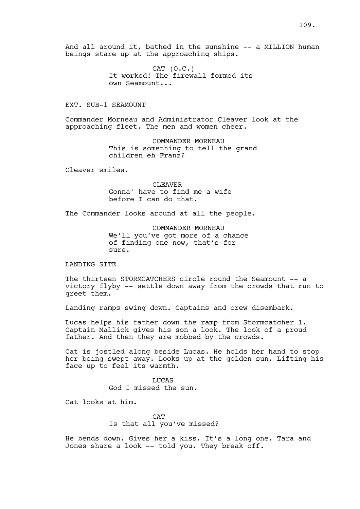And all around it, bathed in the sunshine -- a MILLION human beings stare up at the approaching ships.

> CAT (O.C.) It worked! The firewall formed its own Seamount...

EXT. SUB-1 SEAMOUNT

Commander Morneau and Administrator Cleaver look at the approaching fleet. The men and women cheer.

> COMMANDER MORNEAU This is something to tell the grand children eh Franz?

Cleaver smiles.

CLEAVER Gonna' have to find me a wife before I can do that.

The Commander looks around at all the people.

COMMANDER MORNEAU We'll you've got more of a chance of finding one now, that's for sure.

LANDING SITE

The thirteen STORMCATCHERS circle round the Seamount -- a victory flyby -- settle down away from the crowds that run to greet them.

Landing ramps swing down. Captains and crew disembark.

Lucas helps his father down the ramp from Stormcatcher 1. Captain Mallick gives his son a look. The look of a proud father. And then they are mobbed by the crowds.

Cat is jostled along beside Lucas. He holds her hand to stop her being swept away. Looks up at the golden sun. Lifting his face up to feel its warmth.

> **LUCAS** God I missed the sun.

Cat looks at him.

**CAT** Is that all you've missed?

He bends down. Gives her a kiss. It's a long one. Tara and Jones share a look -- told you. They break off.